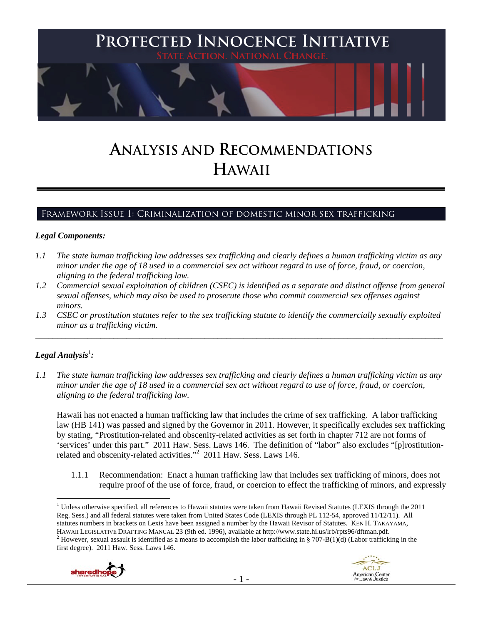

# **ANALYSIS AND RECOMMENDATIONS HAWAII**

## Framework Issue 1: Criminalization of domestic minor sex trafficking

#### *Legal Components:*

- *1.1 The state human trafficking law addresses sex trafficking and clearly defines a human trafficking victim as any minor under the age of 18 used in a commercial sex act without regard to use of force, fraud, or coercion, aligning to the federal trafficking law.*
- *1.2 Commercial sexual exploitation of children (CSEC) is identified as a separate and distinct offense from general sexual offenses, which may also be used to prosecute those who commit commercial sex offenses against minors.*
- *1.3 CSEC or prostitution statutes refer to the sex trafficking statute to identify the commercially sexually exploited minor as a trafficking victim.*  \_\_\_\_\_\_\_\_\_\_\_\_\_\_\_\_\_\_\_\_\_\_\_\_\_\_\_\_\_\_\_\_\_\_\_\_\_\_\_\_\_\_\_\_\_\_\_\_\_\_\_\_\_\_\_\_\_\_\_\_\_\_\_\_\_\_\_\_\_\_\_\_\_\_\_\_\_\_\_\_\_\_\_\_\_\_\_\_\_\_\_\_\_\_

## $\bm{\mathit{Legal\, Analysis^{\text{!}}:}}$

*1.1 The state human trafficking law addresses sex trafficking and clearly defines a human trafficking victim as any minor under the age of 18 used in a commercial sex act without regard to use of force, fraud, or coercion, aligning to the federal trafficking law.*

Hawaii has not enacted a human trafficking law that includes the crime of sex trafficking. A labor trafficking law (HB 141) was passed and signed by the Governor in 2011. However, it specifically excludes sex trafficking by stating, "Prostitution-related and obscenity-related activities as set forth in chapter 712 are not forms of 'services' under this part." 2011 Haw. Sess. Laws 146. The definition of "labor" also excludes "[p]rostitutionrelated and obscenity-related activities."<sup>2</sup> 2011 Haw. Sess. Laws 146.

1.1.1 Recommendation: Enact a human trafficking law that includes sex trafficking of minors, does not require proof of the use of force, fraud, or coercion to effect the trafficking of minors, and expressly

 $\overline{a}$ <sup>1</sup> Unless otherwise specified, all references to Hawaii statutes were taken from Hawaii Revised Statutes (LEXIS through the 2011 Reg. Sess.) and all federal statutes were taken from United States Code (LEXIS through PL 112-54, approved 11/12/11). All statutes numbers in brackets on Lexis have been assigned a number by the Hawaii Revisor of Statutes. KEN H. TAKAYAMA, HAWAII LEGISLATIVE DRAFTING MANUAL 23 (9th ed. 1996), available at http://www.state.hi.us/lrb/rpts96/dftman.pdf. 2 <sup>2</sup> However, sexual assault is identified as a means to accomplish the labor trafficking in § 707-B(1)(d) (Labor trafficking in the first degree). 2011 Haw. Sess. Laws 146.



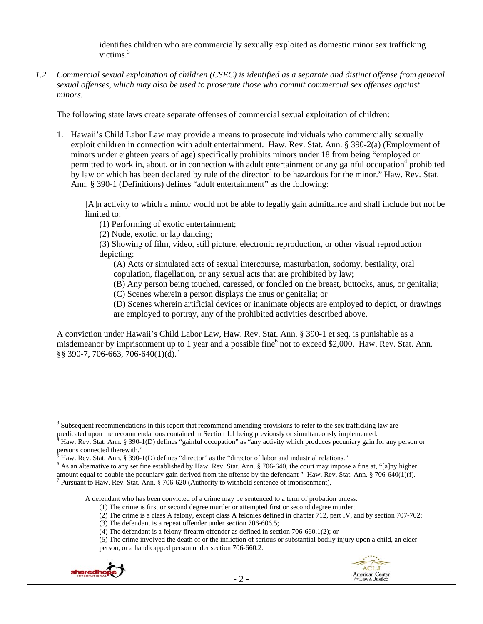identifies children who are commercially sexually exploited as domestic minor sex trafficking victims.<sup>3</sup>

*1.2 Commercial sexual exploitation of children (CSEC) is identified as a separate and distinct offense from general sexual offenses, which may also be used to prosecute those who commit commercial sex offenses against minors.*

The following state laws create separate offenses of commercial sexual exploitation of children:

1. Hawaii's Child Labor Law may provide a means to prosecute individuals who commercially sexually exploit children in connection with adult entertainment. Haw. Rev. Stat. Ann. § 390-2(a) (Employment of minors under eighteen years of age) specifically prohibits minors under 18 from being "employed or permitted to work in, about, or in connection with adult entertainment or any gainful occupation<sup>4</sup> prohibited by law or which has been declared by rule of the director<sup>5</sup> to be hazardous for the minor." Haw. Rev. Stat. Ann. § 390-1 (Definitions) defines "adult entertainment" as the following:

[A]n activity to which a minor would not be able to legally gain admittance and shall include but not be limited to:

(1) Performing of exotic entertainment;

(2) Nude, exotic, or lap dancing;

(3) Showing of film, video, still picture, electronic reproduction, or other visual reproduction depicting:

(A) Acts or simulated acts of sexual intercourse, masturbation, sodomy, bestiality, oral copulation, flagellation, or any sexual acts that are prohibited by law;

(B) Any person being touched, caressed, or fondled on the breast, buttocks, anus, or genitalia; (C) Scenes wherein a person displays the anus or genitalia; or

(D) Scenes wherein artificial devices or inanimate objects are employed to depict, or drawings are employed to portray, any of the prohibited activities described above.

A conviction under Hawaii's Child Labor Law, Haw. Rev. Stat. Ann. § 390-1 et seq. is punishable as a misdemeanor by imprisonment up to 1 year and a possible fine<sup>6</sup> not to exceed \$2,000. Haw. Rev. Stat. Ann. §§ 390-7, 706-663, 706-640(1)(d).<sup>7</sup>

A defendant who has been convicted of a crime may be sentenced to a term of probation unless:

<sup>(5)</sup> The crime involved the death of or the infliction of serious or substantial bodily injury upon a child, an elder person, or a handicapped person under section 706-660.2.



<sup>&</sup>lt;sup>3</sup> Subsequent recommendations in this report that recommend amending provisions to refer to the sex trafficking law are predicated upon the recommendations contained in Section 1.1 being previously or simultaneously implemented.

Haw. Rev. Stat. Ann. § 390-1(D) defines "gainful occupation" as "any activity which produces pecuniary gain for any person or persons connected therewith."

Haw. Rev. Stat. Ann. § 390-1(D) defines "director" as the "director of labor and industrial relations."

<sup>&</sup>lt;sup>6</sup> As an alternative to any set fine established by Haw. Rev. Stat. Ann. § 706-640, the court may impose a fine at, "[a]ny higher amount equal to double the pecuniary gain derived from the offense by the defendant " Haw. Rev. Stat. Ann. § 706-640(1)(f).

<sup>&</sup>lt;sup>7</sup> Pursuant to Haw. Rev. Stat. Ann. § 706-620 (Authority to withhold sentence of imprisonment),

<sup>(1)</sup> The crime is first or second degree murder or attempted first or second degree murder;

<sup>(2)</sup> The crime is a class A felony, except class A felonies defined in chapter 712, part IV, and by section 707-702;

<sup>(3)</sup> The defendant is a repeat offender under section 706-606.5;

<sup>(4)</sup> The defendant is a felony firearm offender as defined in section 706-660.1(2); or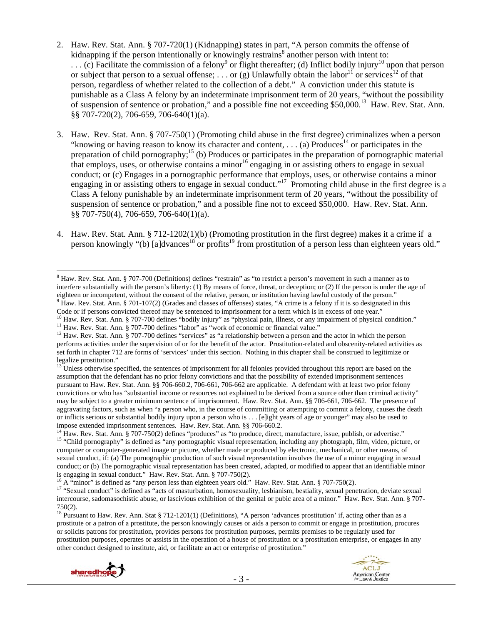- 2. Haw. Rev. Stat. Ann. § 707-720(1) (Kidnapping) states in part, "A person commits the offense of kidnapping if the person intentionally or knowingly restrains<sup>8</sup> another person with intent to:  $\dots$  (c) Facilitate the commission of a felony<sup>9</sup> or flight thereafter; (d) Inflict bodily injury<sup>10</sup> upon that person or subject that person to a sexual offense; ... or (g) Unlawfully obtain the labor<sup>11</sup> or services<sup>12</sup> of that person, regardless of whether related to the collection of a debt." A conviction under this statute is punishable as a Class A felony by an indeterminate imprisonment term of 20 years, "without the possibility of suspension of sentence or probation," and a possible fine not exceeding \$50,000.<sup>13</sup> Haw. Rev. Stat. Ann. §§ 707-720(2), 706-659, 706-640(1)(a).
- 3. Haw. Rev. Stat. Ann. § 707-750(1) (Promoting child abuse in the first degree) criminalizes when a person "knowing or having reason to know its character and content, ... (a) Produces<sup>14</sup> or participates in the preparation of child pornography;<sup>15</sup> (b) Produces or participates in the preparation of pornographic material that employs, uses, or otherwise contains a minor<sup>16</sup> engaging in or assisting others to engage in sexual conduct; or (c) Engages in a pornographic performance that employs, uses, or otherwise contains a minor engaging in or assisting others to engage in sexual conduct."<sup>17</sup> Promoting child abuse in the first degree is a Class A felony punishable by an indeterminate imprisonment term of 20 years, "without the possibility of suspension of sentence or probation," and a possible fine not to exceed \$50,000. Haw. Rev. Stat. Ann. §§ 707-750(4), 706-659, 706-640(1)(a).
- 4. Haw. Rev. Stat. Ann. § 712-1202(1)(b) (Promoting prostitution in the first degree) makes it a crime if a person knowingly "(b) [a]dvances<sup>18</sup> or profits<sup>19</sup> from prostitution of a person less than eighteen years old."

<sup>&</sup>lt;sup>18</sup> Pursuant to Haw. Rev. Ann. Stat § 712-1201(1) (Definitions), "A person 'advances prostitution' if, acting other than as a prostitute or a patron of a prostitute, the person knowingly causes or aids a person to commit or engage in prostitution, procures or solicits patrons for prostitution, provides persons for prostitution purposes, permits premises to be regularly used for prostitution purposes, operates or assists in the operation of a house of prostitution or a prostitution enterprise, or engages in any other conduct designed to institute, aid, or facilitate an act or enterprise of prostitution."





<sup>&</sup>lt;sup>8</sup> Haw. Rev. Stat. Ann. § 707-700 (Definitions) defines "restrain" as "to restrict a person's movement in such a manner as to interfere substantially with the person's liberty: (1) By means of force, threat, or deception; or (2) If the person is under the age of eighteen or incompetent, without the consent of the relative, person, or institution having lawful custody of the person." 9 <sup>9</sup> Haw. Rev. Stat. Ann. § 701-107(2) (Grades and classes of offenses) states, "A crime is a felony if it is so designated in this

Code or if persons convicted thereof may be sentenced to imprisonment for a term which is in excess of one year."<br><sup>10</sup> Haw. Rev. Stat. Ann. § 707-700 defines "bodily injury" as "physical pain, illness, or any impairment of

performs activities under the supervision of or for the benefit of the actor. Prostitution-related and obscenity-related activities as set forth in chapter 712 are forms of 'services' under this section. Nothing in this chapter shall be construed to legitimize or legalize prostitution."

<sup>&</sup>lt;sup>13</sup> Unless otherwise specified, the sentences of imprisonment for all felonies provided throughout this report are based on the assumption that the defendant has no prior felony convictions and that the possibility of extended imprisonment sentences pursuant to Haw. Rev. Stat. Ann. §§ 706-660.2, 706-661, 706-662 are applicable. A defendant with at least two prior felony convictions or who has "substantial income or resources not explained to be derived from a source other than criminal activity" may be subject to a greater minimum sentence of imprisonment. Haw. Rev. Stat. Ann. §§ 706-661, 706-662. The presence of aggravating factors, such as when "a person who, in the course of committing or attempting to commit a felony, causes the death or inflicts serious or substantial bodily injury upon a person who is . . . [e]ight years of age or younger" may also be used to impose extended imprisonment sentences. Haw. Rev. Stat. Ann. §§ 706-660.2.

<sup>&</sup>lt;sup>14</sup> Haw. Rev. Stat. Ann. § 707-750(2) defines "produces" as "to produce, direct, manufacture, issue, publish, or advertise."<br><sup>15</sup> "Child pornography" is defined as "any pornographic visual representation, including any p computer or computer-generated image or picture, whether made or produced by electronic, mechanical, or other means, of sexual conduct, if: (a) The pornographic production of such visual representation involves the use of a minor engaging in sexual conduct; or (b) The pornographic visual representation has been created, adapted, or modified to appear that an identifiable minor is engaging in sexual conduct." Haw. Rev. Stat. Ann. § 707-750(2).<br><sup>16</sup> A "minor" is defined as "any person less than eighteen years old." Haw. Rev. Stat. Ann. § 707-750(2).<br><sup>17</sup> "Sexual conduct" is defined as "acts of ma

intercourse, sadomasochistic abuse, or lascivious exhibition of the genital or pubic area of a minor." Haw. Rev. Stat. Ann. § 707- 750(2).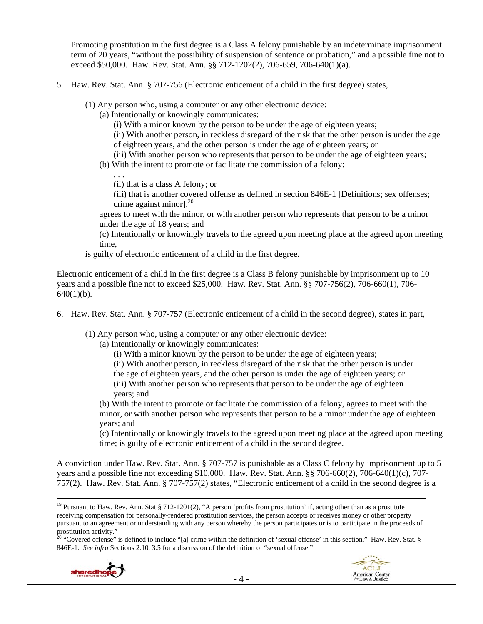Promoting prostitution in the first degree is a Class A felony punishable by an indeterminate imprisonment term of 20 years, "without the possibility of suspension of sentence or probation," and a possible fine not to exceed \$50,000. Haw. Rev. Stat. Ann. §§ 712-1202(2), 706-659, 706-640(1)(a).

- 5. Haw. Rev. Stat. Ann. § 707-756 (Electronic enticement of a child in the first degree) states,
	- (1) Any person who, using a computer or any other electronic device:
		- (a) Intentionally or knowingly communicates:

(i) With a minor known by the person to be under the age of eighteen years;

(ii) With another person, in reckless disregard of the risk that the other person is under the age of eighteen years, and the other person is under the age of eighteen years; or

(iii) With another person who represents that person to be under the age of eighteen years;

(b) With the intent to promote or facilitate the commission of a felony:

. . . (ii) that is a class A felony; or

(iii) that is another covered offense as defined in section 846E-1 [Definitions; sex offenses; crime against minor], $^{20}$ 

agrees to meet with the minor, or with another person who represents that person to be a minor under the age of 18 years; and

(c) Intentionally or knowingly travels to the agreed upon meeting place at the agreed upon meeting time,

is guilty of electronic enticement of a child in the first degree.

Electronic enticement of a child in the first degree is a Class B felony punishable by imprisonment up to 10 years and a possible fine not to exceed \$25,000. Haw. Rev. Stat. Ann. §§ 707-756(2), 706-660(1), 706-  $640(1)(b)$ .

6. Haw. Rev. Stat. Ann. § 707-757 (Electronic enticement of a child in the second degree), states in part,

(1) Any person who, using a computer or any other electronic device:

- (a) Intentionally or knowingly communicates:
	- (i) With a minor known by the person to be under the age of eighteen years;
	- (ii) With another person, in reckless disregard of the risk that the other person is under
	- the age of eighteen years, and the other person is under the age of eighteen years; or (iii) With another person who represents that person to be under the age of eighteen years; and

(b) With the intent to promote or facilitate the commission of a felony, agrees to meet with the minor, or with another person who represents that person to be a minor under the age of eighteen years; and

(c) Intentionally or knowingly travels to the agreed upon meeting place at the agreed upon meeting time; is guilty of electronic enticement of a child in the second degree.

A conviction under Haw. Rev. Stat. Ann. § 707-757 is punishable as a Class C felony by imprisonment up to 5 years and a possible fine not exceeding \$10,000. Haw. Rev. Stat. Ann. §§ 706-660(2), 706-640(1)(c), 707- 757(2). Haw. Rev. Stat. Ann. § 707-757(2) states, "Electronic enticement of a child in the second degree is a

<sup>&</sup>lt;sup>20</sup> "Covered offense" is defined to include "[a] crime within the definition of 'sexual offense' in this section." Haw. Rev. Stat.  $\S$ 846E-1. *See infra* Sections 2.10, 3.5 for a discussion of the definition of "sexual offense."





<sup>&</sup>lt;sup>19</sup> Pursuant to Haw. Rev. Ann. Stat § 712-1201(2), "A person 'profits from prostitution' if, acting other than as a prostitute receiving compensation for personally-rendered prostitution services, the person accepts or receives money or other property pursuant to an agreement or understanding with any person whereby the person participates or is to participate in the proceeds of prostitution activity."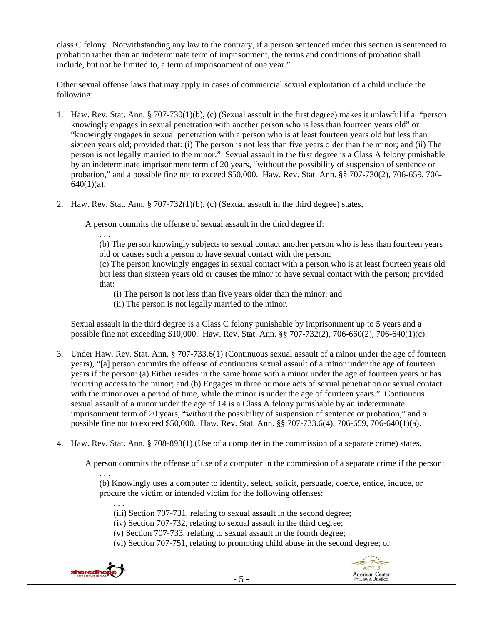class C felony. Notwithstanding any law to the contrary, if a person sentenced under this section is sentenced to probation rather than an indeterminate term of imprisonment, the terms and conditions of probation shall include, but not be limited to, a term of imprisonment of one year."

Other sexual offense laws that may apply in cases of commercial sexual exploitation of a child include the following:

- 1. Haw. Rev. Stat. Ann. § 707-730(1)(b), (c) (Sexual assault in the first degree) makes it unlawful if a "person knowingly engages in sexual penetration with another person who is less than fourteen years old" or "knowingly engages in sexual penetration with a person who is at least fourteen years old but less than sixteen years old; provided that: (i) The person is not less than five years older than the minor; and (ii) The person is not legally married to the minor." Sexual assault in the first degree is a Class A felony punishable by an indeterminate imprisonment term of 20 years, "without the possibility of suspension of sentence or probation," and a possible fine not to exceed \$50,000. Haw. Rev. Stat. Ann. §§ 707-730(2), 706-659, 706-  $640(1)(a)$ .
- 2. Haw. Rev. Stat. Ann. § 707-732(1)(b), (c) (Sexual assault in the third degree) states,

A person commits the offense of sexual assault in the third degree if:

. . .

(b) The person knowingly subjects to sexual contact another person who is less than fourteen years old or causes such a person to have sexual contact with the person;

(c) The person knowingly engages in sexual contact with a person who is at least fourteen years old but less than sixteen years old or causes the minor to have sexual contact with the person; provided that:

(i) The person is not less than five years older than the minor; and

(ii) The person is not legally married to the minor.

Sexual assault in the third degree is a Class C felony punishable by imprisonment up to 5 years and a possible fine not exceeding \$10,000. Haw. Rev. Stat. Ann. §§ 707-732(2), 706-660(2), 706-640(1)(c).

- 3. Under Haw. Rev. Stat. Ann. § 707-733.6(1) (Continuous sexual assault of a minor under the age of fourteen years), "[a] person commits the offense of continuous sexual assault of a minor under the age of fourteen years if the person: (a) Either resides in the same home with a minor under the age of fourteen years or has recurring access to the minor; and (b) Engages in three or more acts of sexual penetration or sexual contact with the minor over a period of time, while the minor is under the age of fourteen years." Continuous sexual assault of a minor under the age of 14 is a Class A felony punishable by an indeterminate imprisonment term of 20 years, "without the possibility of suspension of sentence or probation," and a possible fine not to exceed \$50,000. Haw. Rev. Stat. Ann. §§ 707-733.6(4), 706-659, 706-640(1)(a).
- 4. Haw. Rev. Stat. Ann. § 708-893(1) (Use of a computer in the commission of a separate crime) states,

A person commits the offense of use of a computer in the commission of a separate crime if the person:

. . . (b) Knowingly uses a computer to identify, select, solicit, persuade, coerce, entice, induce, or procure the victim or intended victim for the following offenses:

- . . . (iii) Section 707-731, relating to sexual assault in the second degree;
- (iv) Section 707-732, relating to sexual assault in the third degree;
- (v) Section 707-733, relating to sexual assault in the fourth degree;
- (vi) Section 707-751, relating to promoting child abuse in the second degree; or

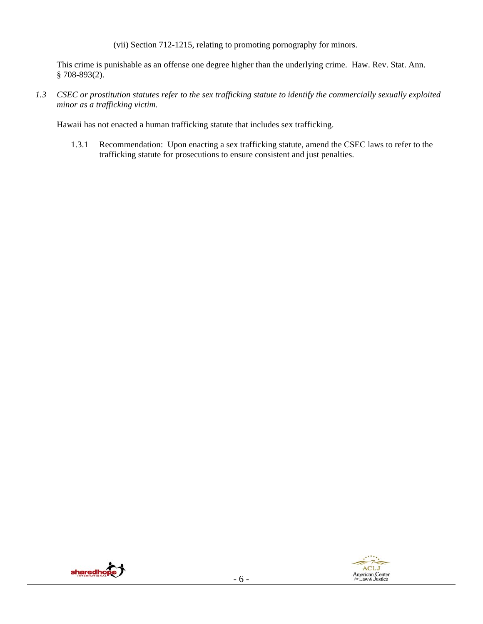(vii) Section 712-1215, relating to promoting pornography for minors.

This crime is punishable as an offense one degree higher than the underlying crime. Haw. Rev. Stat. Ann.  $§ 708-893(2).$ 

*1.3 CSEC or prostitution statutes refer to the sex trafficking statute to identify the commercially sexually exploited minor as a trafficking victim.*

Hawaii has not enacted a human trafficking statute that includes sex trafficking.

1.3.1 Recommendation: Upon enacting a sex trafficking statute, amend the CSEC laws to refer to the trafficking statute for prosecutions to ensure consistent and just penalties.



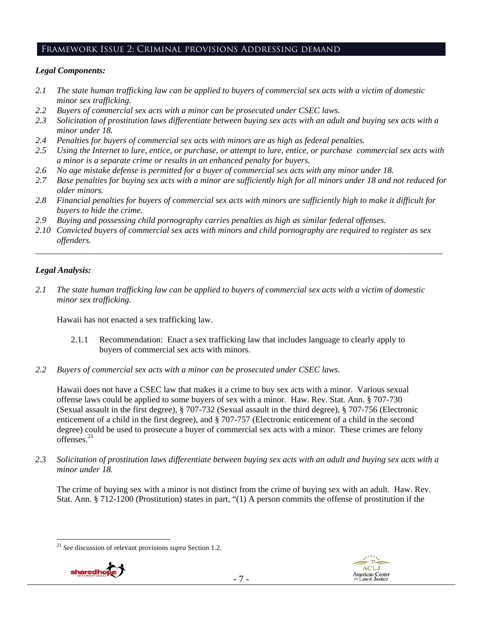## Framework Issue 2: Criminal provisions Addressing demand

#### *Legal Components:*

- *2.1 The state human trafficking law can be applied to buyers of commercial sex acts with a victim of domestic minor sex trafficking.*
- *2.2 Buyers of commercial sex acts with a minor can be prosecuted under CSEC laws.*
- *2.3 Solicitation of prostitution laws differentiate between buying sex acts with an adult and buying sex acts with a minor under 18.*
- *2.4 Penalties for buyers of commercial sex acts with minors are as high as federal penalties.*
- *2.5 Using the Internet to lure, entice, or purchase, or attempt to lure, entice, or purchase commercial sex acts with a minor is a separate crime or results in an enhanced penalty for buyers.*
- *2.6 No age mistake defense is permitted for a buyer of commercial sex acts with any minor under 18.*
- *2.7 Base penalties for buying sex acts with a minor are sufficiently high for all minors under 18 and not reduced for older minors.*
- *2.8 Financial penalties for buyers of commercial sex acts with minors are sufficiently high to make it difficult for buyers to hide the crime.*
- *2.9 Buying and possessing child pornography carries penalties as high as similar federal offenses.*
- *2.10 Convicted buyers of commercial sex acts with minors and child pornography are required to register as sex offenders.*

\_\_\_\_\_\_\_\_\_\_\_\_\_\_\_\_\_\_\_\_\_\_\_\_\_\_\_\_\_\_\_\_\_\_\_\_\_\_\_\_\_\_\_\_\_\_\_\_\_\_\_\_\_\_\_\_\_\_\_\_\_\_\_\_\_\_\_\_\_\_\_\_\_\_\_\_\_\_\_\_\_\_\_\_\_\_\_\_\_\_\_\_\_\_

## *Legal Analysis:*

*2.1 The state human trafficking law can be applied to buyers of commercial sex acts with a victim of domestic minor sex trafficking.* 

Hawaii has not enacted a sex trafficking law.

- 2.1.1 Recommendation: Enact a sex trafficking law that includes language to clearly apply to buyers of commercial sex acts with minors.
- *2.2 Buyers of commercial sex acts with a minor can be prosecuted under CSEC laws.*

Hawaii does not have a CSEC law that makes it a crime to buy sex acts with a minor. Various sexual offense laws could be applied to some buyers of sex with a minor. Haw. Rev. Stat. Ann. § 707-730 (Sexual assault in the first degree), § 707-732 (Sexual assault in the third degree), § 707-756 (Electronic enticement of a child in the first degree), and § 707-757 (Electronic enticement of a child in the second degree) could be used to prosecute a buyer of commercial sex acts with a minor. These crimes are felony offenses.<sup>21</sup>

*2.3 Solicitation of prostitution laws differentiate between buying sex acts with an adult and buying sex acts with a minor under 18.* 

The crime of buying sex with a minor is not distinct from the crime of buying sex with an adult. Haw. Rev. Stat. Ann. § 712-1200 (Prostitution) states in part, "(1) A person commits the offense of prostitution if the

 $\overline{a}$ <sup>21</sup> *See* discussion of relevant provisions *supra* Section 1.2.



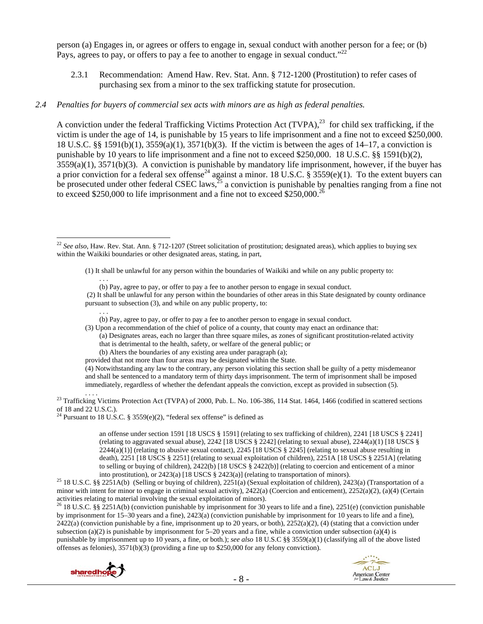person (a) Engages in, or agrees or offers to engage in, sexual conduct with another person for a fee; or (b) Pays, agrees to pay, or offers to pay a fee to another to engage in sexual conduct."<sup>22</sup>

2.3.1 Recommendation: Amend Haw. Rev. Stat. Ann. § 712-1200 (Prostitution) to refer cases of purchasing sex from a minor to the sex trafficking statute for prosecution.

#### *2.4 Penalties for buyers of commercial sex acts with minors are as high as federal penalties.*

A conviction under the federal Trafficking Victims Protection Act (TVPA),<sup>23</sup> for child sex trafficking, if the victim is under the age of 14, is punishable by 15 years to life imprisonment and a fine not to exceed \$250,000. 18 U.S.C. §§ 1591(b)(1), 3559(a)(1), 3571(b)(3). If the victim is between the ages of 14–17, a conviction is punishable by 10 years to life imprisonment and a fine not to exceed \$250,000. 18 U.S.C. §§ 1591(b)(2), 3559(a)(1), 3571(b)(3). A conviction is punishable by mandatory life imprisonment, however, if the buyer has a prior conviction for a federal sex offense<sup>24</sup> against a minor. 18 U.S.C.  $\S$  3559(e)(1). To the extent buyers can be prosecuted under other federal CSEC laws,  $^{25}$  a conviction is punishable by penalties ranging from a fine not to exceed \$250,000 to life imprisonment and a fine not to exceed \$250,000.<sup>26</sup>

(1) It shall be unlawful for any person within the boundaries of Waikiki and while on any public property to:

 $\mathbf{r}$  . . . . (b) Pay, agree to pay, or offer to pay a fee to another person to engage in sexual conduct.

 (2) It shall be unlawful for any person within the boundaries of other areas in this State designated by county ordinance pursuant to subsection (3), and while on any public property, to:

. . . (b) Pay, agree to pay, or offer to pay a fee to another person to engage in sexual conduct.

(3) Upon a recommendation of the chief of police of a county, that county may enact an ordinance that:

(a) Designates areas, each no larger than three square miles, as zones of significant prostitution-related activity that is detrimental to the health, safety, or welfare of the general public; or

(b) Alters the boundaries of any existing area under paragraph (a);

provided that not more than four areas may be designated within the State.

(4) Notwithstanding any law to the contrary, any person violating this section shall be guilty of a petty misdemeanor and shall be sentenced to a mandatory term of thirty days imprisonment. The term of imprisonment shall be imposed immediately, regardless of whether the defendant appeals the conviction, except as provided in subsection (5).

<sup>23</sup> Trafficking Victims Protection Act (TVPA) of 2000, Pub. L. No. 106-386, 114 Stat. 1464, 1466 (codified in scattered sections of 18 and 22 U.S.C.).

<sup>24</sup> Pursuant to 18 U.S.C. § 3559(e)(2), "federal sex offense" is defined as

an offense under section 1591 [18 USCS § 1591] (relating to sex trafficking of children), 2241 [18 USCS § 2241] (relating to aggravated sexual abuse), 2242 [18 USCS § 2242] (relating to sexual abuse), 2244(a)(1) [18 USCS §  $2244(a)(1)$  (relating to abusive sexual contact),  $2245$  [18 USCS § 2245] (relating to sexual abuse resulting in death), 2251 [18 USCS § 2251] (relating to sexual exploitation of children), 2251A [18 USCS § 2251A] (relating to selling or buying of children), 2422(b) [18 USCS § 2422(b)] (relating to coercion and enticement of a minor

into prostitution), or 2423(a) [18 USCS § 2423(a)] (relating to transportation of minors). 25 18 U.S.C. §§ 2251A(b) (Selling or buying of children), 2251(a) (Sexual exploitation of children), 2423(a) (Transportation of a minor with intent for minor to engage in criminal sexual activity), 2422(a) (Coercion and enticement), 2252(a)(2), (a)(4) (Certain activities relating to material involving the sexual exploitation of minors).

<sup>26</sup> 18 U.S.C. §§ 2251A(b) (conviction punishable by imprisonment for 30 years to life and a fine), 2251(e) (conviction punishable by imprisonment for 15–30 years and a fine), 2423(a) (conviction punishable by imprisonment for 10 years to life and a fine),  $2422(a)$  (conviction punishable by a fine, imprisonment up to 20 years, or both),  $2252(a)(2)$ , (4) (stating that a conviction under subsection (a)(2) is punishable by imprisonment for  $5-20$  years and a fine, while a conviction under subsection (a)(4) is punishable by imprisonment up to 10 years, a fine, or both.); *see also* 18 U.S.C §§ 3559(a)(1) (classifying all of the above listed offenses as felonies), 3571(b)(3) (providing a fine up to \$250,000 for any felony conviction).





 $\overline{a}$ <sup>22</sup> See also. Haw. Rev. Stat. Ann. § 712-1207 (Street solicitation of prostitution; designated areas), which applies to buying sex within the Waikiki boundaries or other designated areas, stating, in part,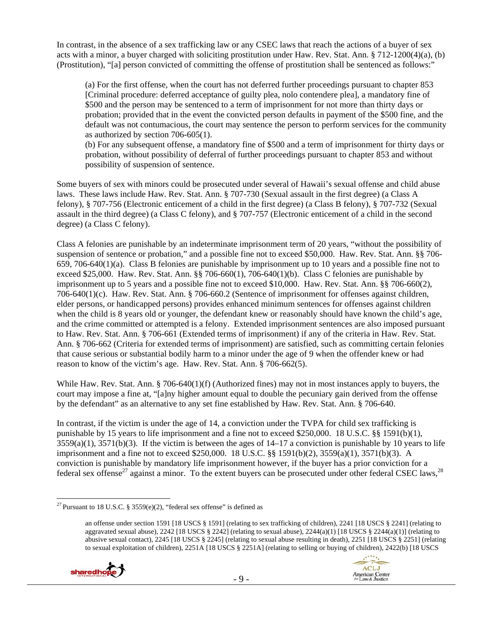In contrast, in the absence of a sex trafficking law or any CSEC laws that reach the actions of a buyer of sex acts with a minor, a buyer charged with soliciting prostitution under Haw. Rev. Stat. Ann. § 712-1200(4)(a), (b) (Prostitution), "[a] person convicted of committing the offense of prostitution shall be sentenced as follows:"

(a) For the first offense, when the court has not deferred further proceedings pursuant to chapter 853 [Criminal procedure: deferred acceptance of guilty plea, nolo contendere plea], a mandatory fine of \$500 and the person may be sentenced to a term of imprisonment for not more than thirty days or probation; provided that in the event the convicted person defaults in payment of the \$500 fine, and the default was not contumacious, the court may sentence the person to perform services for the community as authorized by section 706-605(1).

(b) For any subsequent offense, a mandatory fine of \$500 and a term of imprisonment for thirty days or probation, without possibility of deferral of further proceedings pursuant to chapter 853 and without possibility of suspension of sentence.

Some buyers of sex with minors could be prosecuted under several of Hawaii's sexual offense and child abuse laws. These laws include Haw. Rev. Stat. Ann. § 707-730 (Sexual assault in the first degree) (a Class A felony), § 707-756 (Electronic enticement of a child in the first degree) (a Class B felony), § 707-732 (Sexual assault in the third degree) (a Class C felony), and § 707-757 (Electronic enticement of a child in the second degree) (a Class C felony).

Class A felonies are punishable by an indeterminate imprisonment term of 20 years, "without the possibility of suspension of sentence or probation," and a possible fine not to exceed \$50,000. Haw. Rev. Stat. Ann. §§ 706- 659, 706-640(1)(a). Class B felonies are punishable by imprisonment up to 10 years and a possible fine not to exceed \$25,000. Haw. Rev. Stat. Ann. §§ 706-660(1), 706-640(1)(b). Class C felonies are punishable by imprisonment up to 5 years and a possible fine not to exceed \$10,000. Haw. Rev. Stat. Ann. §§ 706-660(2), 706-640(1)(c). Haw. Rev. Stat. Ann. § 706-660.2 (Sentence of imprisonment for offenses against children, elder persons, or handicapped persons) provides enhanced minimum sentences for offenses against children when the child is 8 years old or younger, the defendant knew or reasonably should have known the child's age, and the crime committed or attempted is a felony. Extended imprisonment sentences are also imposed pursuant to Haw. Rev. Stat. Ann. § 706-661 (Extended terms of imprisonment) if any of the criteria in Haw. Rev. Stat. Ann. § 706-662 (Criteria for extended terms of imprisonment) are satisfied, such as committing certain felonies that cause serious or substantial bodily harm to a minor under the age of 9 when the offender knew or had reason to know of the victim's age. Haw. Rev. Stat. Ann. § 706-662(5).

While Haw. Rev. Stat. Ann. § 706-640(1)(f) (Authorized fines) may not in most instances apply to buyers, the court may impose a fine at, "[a]ny higher amount equal to double the pecuniary gain derived from the offense by the defendant" as an alternative to any set fine established by Haw. Rev. Stat. Ann. § 706-640.

In contrast, if the victim is under the age of 14, a conviction under the TVPA for child sex trafficking is punishable by 15 years to life imprisonment and a fine not to exceed \$250,000. 18 U.S.C. §§ 1591(b)(1),  $3559(a)(1)$ ,  $3571(b)(3)$ . If the victim is between the ages of  $14-17$  a conviction is punishable by 10 years to life imprisonment and a fine not to exceed \$250,000. 18 U.S.C. §§ 1591(b)(2), 3559(a)(1), 3571(b)(3). A conviction is punishable by mandatory life imprisonment however, if the buyer has a prior conviction for a federal sex offense<sup>27</sup> against a minor. To the extent buyers can be prosecuted under other federal CSEC laws,<sup>28</sup>

an offense under section 1591 [18 USCS § 1591] (relating to sex trafficking of children), 2241 [18 USCS § 2241] (relating to aggravated sexual abuse),  $2242$  [18 USCS § 2242] (relating to sexual abuse),  $2244(a)(1)$  [18 USCS § 2244(a)(1)] (relating to abusive sexual contact), 2245 [18 USCS § 2245] (relating to sexual abuse resulting in death), 2251 [18 USCS § 2251] (relating to sexual exploitation of children), 2251A [18 USCS § 2251A] (relating to selling or buying of children), 2422(b) [18 USCS





 $\overline{a}$ <sup>27</sup> Pursuant to 18 U.S.C. § 3559 $(e)(2)$ , "federal sex offense" is defined as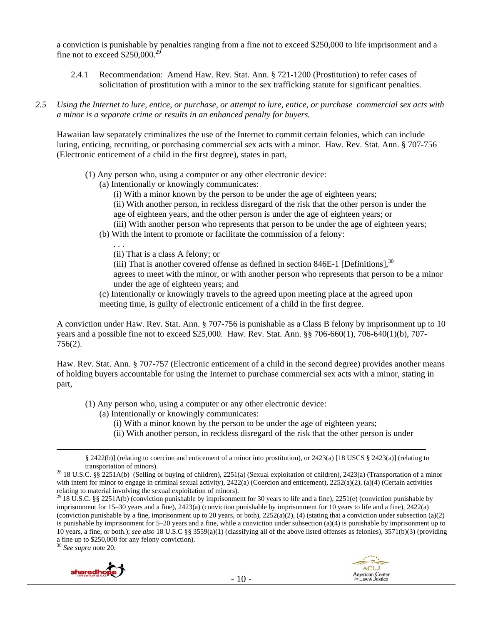a conviction is punishable by penalties ranging from a fine not to exceed \$250,000 to life imprisonment and a fine not to exceed  $$250,000.<sup>2</sup>$ 

- 2.4.1 Recommendation: Amend Haw. Rev. Stat. Ann. § 721-1200 (Prostitution) to refer cases of solicitation of prostitution with a minor to the sex trafficking statute for significant penalties.
- *2.5 Using the Internet to lure, entice, or purchase, or attempt to lure, entice, or purchase commercial sex acts with a minor is a separate crime or results in an enhanced penalty for buyers.*

Hawaiian law separately criminalizes the use of the Internet to commit certain felonies, which can include luring, enticing, recruiting, or purchasing commercial sex acts with a minor. Haw. Rev. Stat. Ann. § 707-756 (Electronic enticement of a child in the first degree), states in part,

- (1) Any person who, using a computer or any other electronic device:
	- (a) Intentionally or knowingly communicates:
		- (i) With a minor known by the person to be under the age of eighteen years;
		- (ii) With another person, in reckless disregard of the risk that the other person is under the age of eighteen years, and the other person is under the age of eighteen years; or
		- (iii) With another person who represents that person to be under the age of eighteen years;
	- (b) With the intent to promote or facilitate the commission of a felony:
		- (ii) That is a class A felony; or

. . .

(iii) That is another covered offense as defined in section 846E-1 [Definitions],  $30$ agrees to meet with the minor, or with another person who represents that person to be a minor under the age of eighteen years; and

(c) Intentionally or knowingly travels to the agreed upon meeting place at the agreed upon meeting time, is guilty of electronic enticement of a child in the first degree.

A conviction under Haw. Rev. Stat. Ann. § 707-756 is punishable as a Class B felony by imprisonment up to 10 years and a possible fine not to exceed \$25,000. Haw. Rev. Stat. Ann. §§ 706-660(1), 706-640(1)(b), 707- 756(2).

Haw. Rev. Stat. Ann. § 707-757 (Electronic enticement of a child in the second degree) provides another means of holding buyers accountable for using the Internet to purchase commercial sex acts with a minor, stating in part,

- (1) Any person who, using a computer or any other electronic device:
	- (a) Intentionally or knowingly communicates:
		- (i) With a minor known by the person to be under the age of eighteen years;
		- (ii) With another person, in reckless disregard of the risk that the other person is under

<sup>30</sup> *See supra* note 20.





 <sup>§ 2422(</sup>b)] (relating to coercion and enticement of a minor into prostitution), or 2423(a) [18 USCS § 2423(a)] (relating to

transportation of minors). 28 18 U.S.C. §§ 2251A(b) (Selling or buying of children), 2251(a) (Sexual exploitation of children), 2423(a) (Transportation of a minor with intent for minor to engage in criminal sexual activity), 2422(a) (Coercion and enticement), 2252(a)(2), (a)(4) (Certain activities

relating to material involving the sexual exploitation of minors).<br><sup>29</sup> 18 U.S.C. §§ 2251A(b) (conviction punishable by imprisonment for 30 years to life and a fine), 2251(e) (conviction punishable by imprisonment for 15–30 years and a fine), 2423(a) (conviction punishable by imprisonment for 10 years to life and a fine), 2422(a) (conviction punishable by a fine, imprisonment up to 20 years, or both),  $2252(a)(2)$ , (4) (stating that a conviction under subsection (a)(2) is punishable by imprisonment for  $5-20$  years and a fine, while a conviction under subsection (a)(4) is punishable by imprisonment up to 10 years, a fine, or both.); *see also* 18 U.S.C §§ 3559(a)(1) (classifying all of the above listed offenses as felonies), 3571(b)(3) (providing a fine up to \$250,000 for any felony conviction).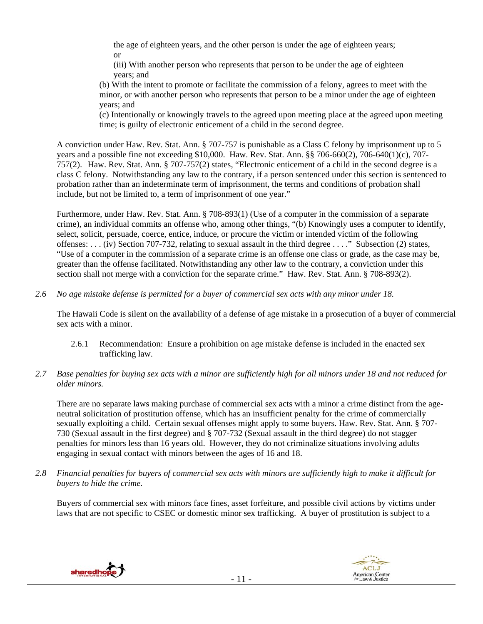the age of eighteen years, and the other person is under the age of eighteen years; or

(iii) With another person who represents that person to be under the age of eighteen years; and

(b) With the intent to promote or facilitate the commission of a felony, agrees to meet with the minor, or with another person who represents that person to be a minor under the age of eighteen years; and

(c) Intentionally or knowingly travels to the agreed upon meeting place at the agreed upon meeting time; is guilty of electronic enticement of a child in the second degree.

A conviction under Haw. Rev. Stat. Ann. § 707-757 is punishable as a Class C felony by imprisonment up to 5 years and a possible fine not exceeding \$10,000. Haw. Rev. Stat. Ann. §§ 706-660(2), 706-640(1)(c), 707- 757(2). Haw. Rev. Stat. Ann. § 707-757(2) states, "Electronic enticement of a child in the second degree is a class C felony. Notwithstanding any law to the contrary, if a person sentenced under this section is sentenced to probation rather than an indeterminate term of imprisonment, the terms and conditions of probation shall include, but not be limited to, a term of imprisonment of one year."

Furthermore, under Haw. Rev. Stat. Ann. § 708-893(1) (Use of a computer in the commission of a separate crime), an individual commits an offense who, among other things, "(b) Knowingly uses a computer to identify, select, solicit, persuade, coerce, entice, induce, or procure the victim or intended victim of the following offenses: . . . (iv) Section 707-732, relating to sexual assault in the third degree . . . ." Subsection (2) states, "Use of a computer in the commission of a separate crime is an offense one class or grade, as the case may be, greater than the offense facilitated. Notwithstanding any other law to the contrary, a conviction under this section shall not merge with a conviction for the separate crime." Haw. Rev. Stat. Ann. § 708-893(2).

*2.6 No age mistake defense is permitted for a buyer of commercial sex acts with any minor under 18.*

The Hawaii Code is silent on the availability of a defense of age mistake in a prosecution of a buyer of commercial sex acts with a minor.

- 2.6.1 Recommendation: Ensure a prohibition on age mistake defense is included in the enacted sex trafficking law.
- *2.7 Base penalties for buying sex acts with a minor are sufficiently high for all minors under 18 and not reduced for older minors.*

There are no separate laws making purchase of commercial sex acts with a minor a crime distinct from the ageneutral solicitation of prostitution offense, which has an insufficient penalty for the crime of commercially sexually exploiting a child. Certain sexual offenses might apply to some buyers. Haw. Rev. Stat. Ann. § 707- 730 (Sexual assault in the first degree) and § 707-732 (Sexual assault in the third degree) do not stagger penalties for minors less than 16 years old. However, they do not criminalize situations involving adults engaging in sexual contact with minors between the ages of 16 and 18.

*2.8 Financial penalties for buyers of commercial sex acts with minors are sufficiently high to make it difficult for buyers to hide the crime.*

Buyers of commercial sex with minors face fines, asset forfeiture, and possible civil actions by victims under laws that are not specific to CSEC or domestic minor sex trafficking. A buyer of prostitution is subject to a



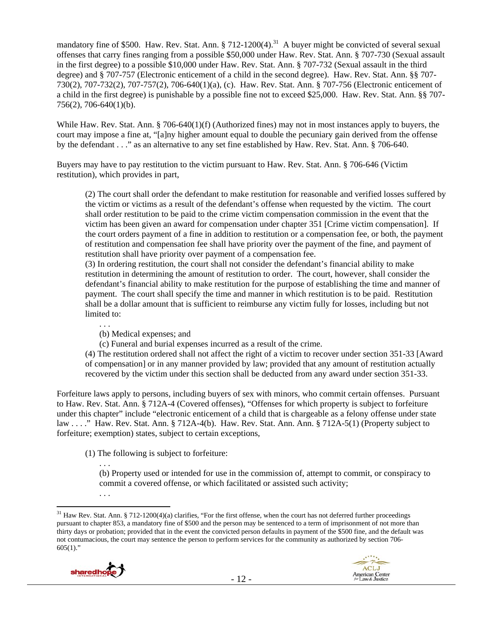mandatory fine of \$500. Haw. Rev. Stat. Ann.  $\S 712-1200(4).$ <sup>31</sup> A buyer might be convicted of several sexual offenses that carry fines ranging from a possible \$50,000 under Haw. Rev. Stat. Ann. § 707-730 (Sexual assault in the first degree) to a possible \$10,000 under Haw. Rev. Stat. Ann. § 707-732 (Sexual assault in the third degree) and § 707-757 (Electronic enticement of a child in the second degree). Haw. Rev. Stat. Ann. §§ 707- 730(2), 707-732(2), 707-757(2), 706-640(1)(a), (c). Haw. Rev. Stat. Ann. § 707-756 (Electronic enticement of a child in the first degree) is punishable by a possible fine not to exceed \$25,000. Haw. Rev. Stat. Ann. §§ 707- 756(2), 706-640(1)(b).

While Haw. Rev. Stat. Ann. § 706-640(1)(f) (Authorized fines) may not in most instances apply to buyers, the court may impose a fine at, "[a]ny higher amount equal to double the pecuniary gain derived from the offense by the defendant . . ." as an alternative to any set fine established by Haw. Rev. Stat. Ann. § 706-640.

Buyers may have to pay restitution to the victim pursuant to Haw. Rev. Stat. Ann. § 706-646 (Victim restitution), which provides in part,

(2) The court shall order the defendant to make restitution for reasonable and verified losses suffered by the victim or victims as a result of the defendant's offense when requested by the victim. The court shall order restitution to be paid to the crime victim compensation commission in the event that the victim has been given an award for compensation under chapter 351 [Crime victim compensation]. If the court orders payment of a fine in addition to restitution or a compensation fee, or both, the payment of restitution and compensation fee shall have priority over the payment of the fine, and payment of restitution shall have priority over payment of a compensation fee.

(3) In ordering restitution, the court shall not consider the defendant's financial ability to make restitution in determining the amount of restitution to order. The court, however, shall consider the defendant's financial ability to make restitution for the purpose of establishing the time and manner of payment. The court shall specify the time and manner in which restitution is to be paid. Restitution shall be a dollar amount that is sufficient to reimburse any victim fully for losses, including but not limited to:

. . .

(b) Medical expenses; and

(c) Funeral and burial expenses incurred as a result of the crime.

(4) The restitution ordered shall not affect the right of a victim to recover under section 351-33 [Award of compensation] or in any manner provided by law; provided that any amount of restitution actually recovered by the victim under this section shall be deducted from any award under section 351-33.

Forfeiture laws apply to persons, including buyers of sex with minors, who commit certain offenses. Pursuant to Haw. Rev. Stat. Ann. § 712A-4 (Covered offenses), "Offenses for which property is subject to forfeiture under this chapter" include "electronic enticement of a child that is chargeable as a felony offense under state law . . . ." Haw. Rev. Stat. Ann. § 712A-4(b). Haw. Rev. Stat. Ann. Ann. § 712A-5(1) (Property subject to forfeiture; exemption) states, subject to certain exceptions,

(1) The following is subject to forfeiture:

. . . (b) Property used or intended for use in the commission of, attempt to commit, or conspiracy to commit a covered offense, or which facilitated or assisted such activity;

<sup>&</sup>lt;sup>31</sup> Haw Rev. Stat. Ann. § 712-1200(4)(a) clarifies, "For the first offense, when the court has not deferred further proceedings pursuant to chapter 853, a mandatory fine of \$500 and the person may be sentenced to a term of imprisonment of not more than thirty days or probation; provided that in the event the convicted person defaults in payment of the \$500 fine, and the default was not contumacious, the court may sentence the person to perform services for the community as authorized by section 706-  $605(1)$ ."



. . .

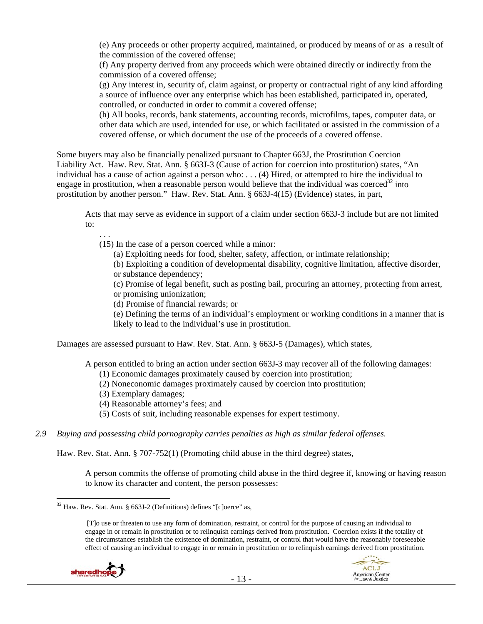(e) Any proceeds or other property acquired, maintained, or produced by means of or as a result of the commission of the covered offense;

(f) Any property derived from any proceeds which were obtained directly or indirectly from the commission of a covered offense;

(g) Any interest in, security of, claim against, or property or contractual right of any kind affording a source of influence over any enterprise which has been established, participated in, operated, controlled, or conducted in order to commit a covered offense;

(h) All books, records, bank statements, accounting records, microfilms, tapes, computer data, or other data which are used, intended for use, or which facilitated or assisted in the commission of a covered offense, or which document the use of the proceeds of a covered offense.

Some buyers may also be financially penalized pursuant to Chapter 663J, the Prostitution Coercion Liability Act. Haw. Rev. Stat. Ann. § 663J-3 (Cause of action for coercion into prostitution) states, "An individual has a cause of action against a person who: . . . (4) Hired, or attempted to hire the individual to engage in prostitution, when a reasonable person would believe that the individual was coerced<sup>32</sup> into prostitution by another person." Haw. Rev. Stat. Ann. § 663J-4(15) (Evidence) states, in part,

Acts that may serve as evidence in support of a claim under section 663J-3 include but are not limited to:

. . .

(15) In the case of a person coerced while a minor:

(a) Exploiting needs for food, shelter, safety, affection, or intimate relationship;

(b) Exploiting a condition of developmental disability, cognitive limitation, affective disorder, or substance dependency;

(c) Promise of legal benefit, such as posting bail, procuring an attorney, protecting from arrest, or promising unionization;

(d) Promise of financial rewards; or

(e) Defining the terms of an individual's employment or working conditions in a manner that is likely to lead to the individual's use in prostitution.

Damages are assessed pursuant to Haw. Rev. Stat. Ann. § 663J-5 (Damages), which states,

A person entitled to bring an action under section 663J-3 may recover all of the following damages:

- (1) Economic damages proximately caused by coercion into prostitution;
- (2) Noneconomic damages proximately caused by coercion into prostitution;
- (3) Exemplary damages;
- (4) Reasonable attorney's fees; and
- (5) Costs of suit, including reasonable expenses for expert testimony.
- *2.9 Buying and possessing child pornography carries penalties as high as similar federal offenses.*

Haw. Rev. Stat. Ann. § 707-752(1) (Promoting child abuse in the third degree) states,

A person commits the offense of promoting child abuse in the third degree if, knowing or having reason to know its character and content, the person possesses:

 <sup>[</sup>T]o use or threaten to use any form of domination, restraint, or control for the purpose of causing an individual to engage in or remain in prostitution or to relinquish earnings derived from prostitution. Coercion exists if the totality of the circumstances establish the existence of domination, restraint, or control that would have the reasonably foreseeable effect of causing an individual to engage in or remain in prostitution or to relinquish earnings derived from prostitution.





 $\overline{a}$  $32$  Haw. Rev. Stat. Ann. § 663J-2 (Definitions) defines "[c]oerce" as,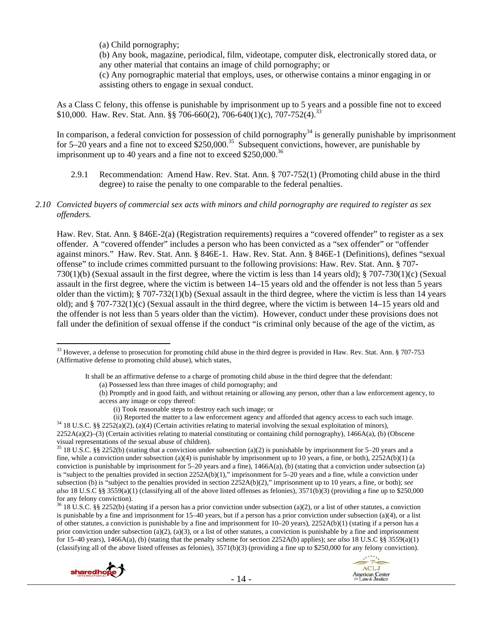(a) Child pornography;

(b) Any book, magazine, periodical, film, videotape, computer disk, electronically stored data, or any other material that contains an image of child pornography; or

(c) Any pornographic material that employs, uses, or otherwise contains a minor engaging in or assisting others to engage in sexual conduct.

As a Class C felony, this offense is punishable by imprisonment up to 5 years and a possible fine not to exceed \$10,000. Haw. Rev. Stat. Ann. §§ 706-660(2), 706-640(1)(c), 707-752(4).<sup>33</sup>

In comparison, a federal conviction for possession of child pornography $34$  is generally punishable by imprisonment for  $5-20$  years and a fine not to exceed  $$250,000.<sup>35</sup>$  Subsequent convictions, however, are punishable by imprisonment up to 40 years and a fine not to exceed  $$250,000.<sup>36</sup>$ 

- 2.9.1 Recommendation: Amend Haw. Rev. Stat. Ann. § 707-752(1) (Promoting child abuse in the third degree) to raise the penalty to one comparable to the federal penalties.
- *2.10 Convicted buyers of commercial sex acts with minors and child pornography are required to register as sex offenders.*

Haw. Rev. Stat. Ann. § 846E-2(a) (Registration requirements) requires a "covered offender" to register as a sex offender. A "covered offender" includes a person who has been convicted as a "sex offender" or "offender against minors." Haw. Rev. Stat. Ann. § 846E-1. Haw. Rev. Stat. Ann. § 846E-1 (Definitions), defines "sexual offense" to include crimes committed pursuant to the following provisions: Haw. Rev. Stat. Ann. § 707- 730(1)(b) (Sexual assault in the first degree, where the victim is less than 14 years old); § 707-730(1)(c) (Sexual assault in the first degree, where the victim is between 14–15 years old and the offender is not less than 5 years older than the victim); § 707-732(1)(b) (Sexual assault in the third degree, where the victim is less than 14 years old); and § 707-732(1)(c) (Sexual assault in the third degree, where the victim is between 14–15 years old and the offender is not less than 5 years older than the victim). However, conduct under these provisions does not fall under the definition of sexual offense if the conduct "is criminal only because of the age of the victim, as

 $36$  18 U.S.C. §§ 2252(b) (stating if a person has a prior conviction under subsection (a)(2), or a list of other statutes, a conviction is punishable by a fine and imprisonment for 15–40 years, but if a person has a prior conviction under subsection (a)(4), or a list of other statutes, a conviction is punishable by a fine and imprisonment for 10–20 years), 2252A(b)(1) (stating if a person has a prior conviction under subsection (a)(2), (a)(3), or a list of other statutes, a conviction is punishable by a fine and imprisonment for 15–40 years), 1466A(a), (b) (stating that the penalty scheme for section 2252A(b) applies); *see also* 18 U.S.C §§ 3559(a)(1) (classifying all of the above listed offenses as felonies),  $3571(b)(3)$  (providing a fine up to \$250,000 for any felony conviction).



 $33$  However, a defense to prosecution for promoting child abuse in the third degree is provided in Haw. Rev. Stat. Ann. § 707-753 (Affirmative defense to promoting child abuse), which states,

It shall be an affirmative defense to a charge of promoting child abuse in the third degree that the defendant:

<sup>(</sup>a) Possessed less than three images of child pornography; and

<sup>(</sup>b) Promptly and in good faith, and without retaining or allowing any person, other than a law enforcement agency, to access any image or copy thereof:

<sup>(</sup>i) Took reasonable steps to destroy each such image; or

<sup>(</sup>ii) Reported the matter to a law enforcement agency and afforded that agency access to each such image.<br><sup>34</sup> 18 U.S.C. §§ 2252(a)(2), (a)(4) (Certain activities relating to material involving the sexual exploitation of m 2252A(a)(2)–(3) (Certain activities relating to material constituting or containing child pornography), 1466A(a), (b) (Obscene visual representations of the sexual abuse of children).

 $35$  18 U.S.C. §§ 2252(b) (stating that a conviction under subsection (a)(2) is punishable by imprisonment for 5–20 years and a fine, while a conviction under subsection (a)(4) is punishable by imprisonment up to 10 years, a fine, or both),  $2252A(b)(1)$  (a conviction is punishable by imprisonment for  $5-20$  years and a fine),  $1466A(a)$ , (b) (stating that a conviction under subsection (a) is "subject to the penalties provided in section 2252A(b)(1)," imprisonment for 5–20 years and a fine, while a conviction under subsection (b) is "subject to the penalties provided in section 2252A(b)(2)," imprisonment up to 10 years, a fine, or both); *see also* 18 U.S.C §§ 3559(a)(1) (classifying all of the above listed offenses as felonies), 3571(b)(3) (providing a fine up to \$250,000 for any felony conviction).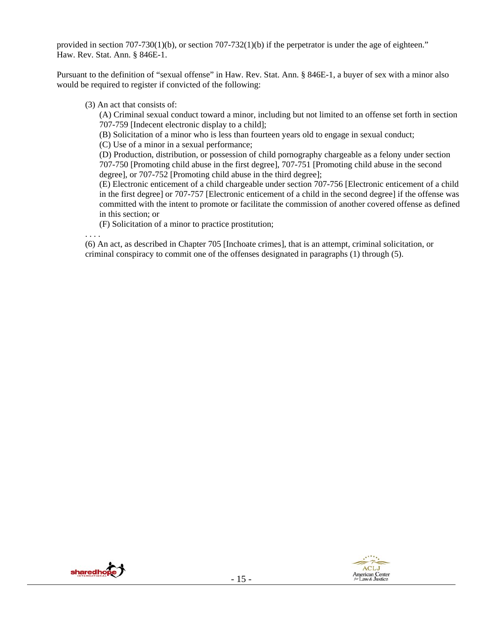provided in section 707-730(1)(b), or section 707-732(1)(b) if the perpetrator is under the age of eighteen." Haw. Rev. Stat. Ann. § 846E-1.

Pursuant to the definition of "sexual offense" in Haw. Rev. Stat. Ann. § 846E-1, a buyer of sex with a minor also would be required to register if convicted of the following:

(3) An act that consists of:

(A) Criminal sexual conduct toward a minor, including but not limited to an offense set forth in section 707-759 [Indecent electronic display to a child];

(B) Solicitation of a minor who is less than fourteen years old to engage in sexual conduct;

(C) Use of a minor in a sexual performance;

(D) Production, distribution, or possession of child pornography chargeable as a felony under section 707-750 [Promoting child abuse in the first degree], 707-751 [Promoting child abuse in the second degree], or 707-752 [Promoting child abuse in the third degree];

(E) Electronic enticement of a child chargeable under section 707-756 [Electronic enticement of a child in the first degree] or 707-757 [Electronic enticement of a child in the second degree] if the offense was committed with the intent to promote or facilitate the commission of another covered offense as defined in this section; or

(F) Solicitation of a minor to practice prostitution;

. . . .

(6) An act, as described in Chapter 705 [Inchoate crimes], that is an attempt, criminal solicitation, or criminal conspiracy to commit one of the offenses designated in paragraphs (1) through (5).



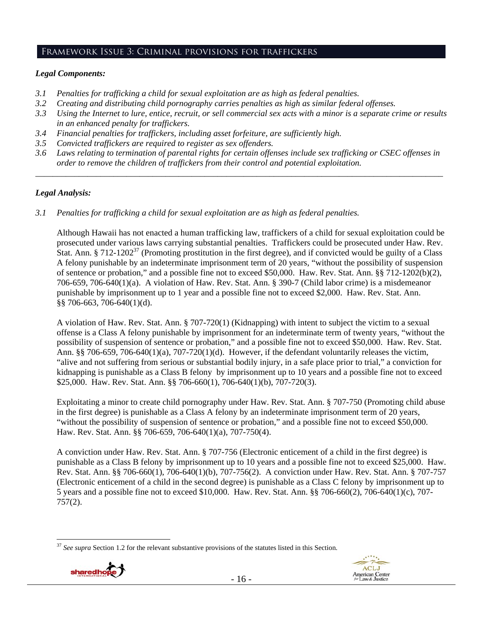## Framework Issue 3: Criminal provisions for traffickers

#### *Legal Components:*

- *3.1 Penalties for trafficking a child for sexual exploitation are as high as federal penalties.*
- *3.2 Creating and distributing child pornography carries penalties as high as similar federal offenses.*
- *3.3 Using the Internet to lure, entice, recruit, or sell commercial sex acts with a minor is a separate crime or results in an enhanced penalty for traffickers.*
- *3.4 Financial penalties for traffickers, including asset forfeiture, are sufficiently high.*
- *3.5 Convicted traffickers are required to register as sex offenders.*
- *3.6 Laws relating to termination of parental rights for certain offenses include sex trafficking or CSEC offenses in order to remove the children of traffickers from their control and potential exploitation. \_\_\_\_\_\_\_\_\_\_\_\_\_\_\_\_\_\_\_\_\_\_\_\_\_\_\_\_\_\_\_\_\_\_\_\_\_\_\_\_\_\_\_\_\_\_\_\_\_\_\_\_\_\_\_\_\_\_\_\_\_\_\_\_\_\_\_\_\_\_\_\_\_\_\_\_\_\_\_\_\_\_\_\_\_\_\_\_\_\_\_\_\_\_*

#### *Legal Analysis:*

*3.1 Penalties for trafficking a child for sexual exploitation are as high as federal penalties.* 

Although Hawaii has not enacted a human trafficking law, traffickers of a child for sexual exploitation could be prosecuted under various laws carrying substantial penalties. Traffickers could be prosecuted under Haw. Rev. Stat. Ann. § 712-1202<sup>37</sup> (Promoting prostitution in the first degree), and if convicted would be guilty of a Class A felony punishable by an indeterminate imprisonment term of 20 years, "without the possibility of suspension of sentence or probation," and a possible fine not to exceed \$50,000. Haw. Rev. Stat. Ann. §§ 712-1202(b)(2), 706-659, 706-640(1)(a). A violation of Haw. Rev. Stat. Ann. § 390-7 (Child labor crime) is a misdemeanor punishable by imprisonment up to 1 year and a possible fine not to exceed \$2,000. Haw. Rev. Stat. Ann. §§ 706-663, 706-640(1)(d).

A violation of Haw. Rev. Stat. Ann. § 707-720(1) (Kidnapping) with intent to subject the victim to a sexual offense is a Class A felony punishable by imprisonment for an indeterminate term of twenty years, "without the possibility of suspension of sentence or probation," and a possible fine not to exceed \$50,000. Haw. Rev. Stat. Ann. §§ 706-659, 706-640(1)(a), 707-720(1)(d). However, if the defendant voluntarily releases the victim, "alive and not suffering from serious or substantial bodily injury, in a safe place prior to trial," a conviction for kidnapping is punishable as a Class B felony by imprisonment up to 10 years and a possible fine not to exceed \$25,000. Haw. Rev. Stat. Ann. §§ 706-660(1), 706-640(1)(b), 707-720(3).

Exploitating a minor to create child pornography under Haw. Rev. Stat. Ann. § 707-750 (Promoting child abuse in the first degree) is punishable as a Class A felony by an indeterminate imprisonment term of 20 years, "without the possibility of suspension of sentence or probation," and a possible fine not to exceed \$50,000. Haw. Rev. Stat. Ann. §§ 706-659, 706-640(1)(a), 707-750(4).

A conviction under Haw. Rev. Stat. Ann. § 707-756 (Electronic enticement of a child in the first degree) is punishable as a Class B felony by imprisonment up to 10 years and a possible fine not to exceed \$25,000. Haw. Rev. Stat. Ann. §§ 706-660(1), 706-640(1)(b), 707-756(2). A conviction under Haw. Rev. Stat. Ann. § 707-757 (Electronic enticement of a child in the second degree) is punishable as a Class C felony by imprisonment up to 5 years and a possible fine not to exceed \$10,000. Haw. Rev. Stat. Ann. §§ 706-660(2), 706-640(1)(c), 707- 757(2).

<sup>&</sup>lt;sup>37</sup> See supra Section 1.2 for the relevant substantive provisions of the statutes listed in this Section.

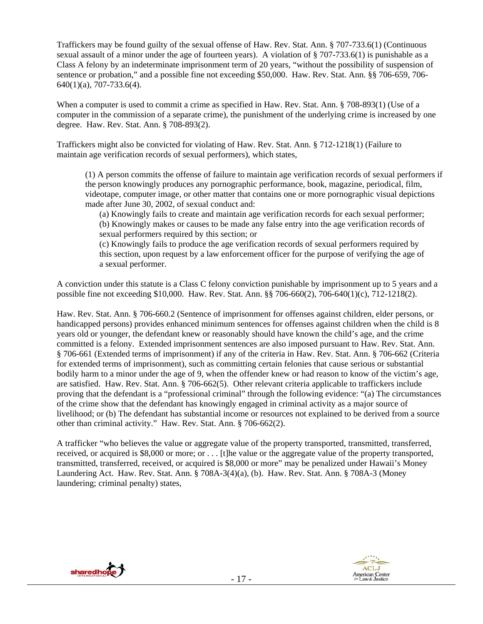Traffickers may be found guilty of the sexual offense of Haw. Rev. Stat. Ann. § 707-733.6(1) (Continuous sexual assault of a minor under the age of fourteen years). A violation of § 707-733.6(1) is punishable as a Class A felony by an indeterminate imprisonment term of 20 years, "without the possibility of suspension of sentence or probation," and a possible fine not exceeding \$50,000. Haw. Rev. Stat. Ann. §§ 706-659, 706- 640(1)(a), 707-733.6(4).

When a computer is used to commit a crime as specified in Haw. Rev. Stat. Ann. § 708-893(1) (Use of a computer in the commission of a separate crime), the punishment of the underlying crime is increased by one degree. Haw. Rev. Stat. Ann. § 708-893(2).

Traffickers might also be convicted for violating of Haw. Rev. Stat. Ann. § 712-1218(1) (Failure to maintain age verification records of sexual performers), which states,

(1) A person commits the offense of failure to maintain age verification records of sexual performers if the person knowingly produces any pornographic performance, book, magazine, periodical, film, videotape, computer image, or other matter that contains one or more pornographic visual depictions made after June 30, 2002, of sexual conduct and:

(a) Knowingly fails to create and maintain age verification records for each sexual performer; (b) Knowingly makes or causes to be made any false entry into the age verification records of sexual performers required by this section; or

(c) Knowingly fails to produce the age verification records of sexual performers required by this section, upon request by a law enforcement officer for the purpose of verifying the age of a sexual performer.

A conviction under this statute is a Class C felony conviction punishable by imprisonment up to 5 years and a possible fine not exceeding \$10,000. Haw. Rev. Stat. Ann. §§ 706-660(2), 706-640(1)(c), 712-1218(2).

Haw. Rev. Stat. Ann. § 706-660.2 (Sentence of imprisonment for offenses against children, elder persons, or handicapped persons) provides enhanced minimum sentences for offenses against children when the child is 8 years old or younger, the defendant knew or reasonably should have known the child's age, and the crime committed is a felony. Extended imprisonment sentences are also imposed pursuant to Haw. Rev. Stat. Ann. § 706-661 (Extended terms of imprisonment) if any of the criteria in Haw. Rev. Stat. Ann. § 706-662 (Criteria for extended terms of imprisonment), such as committing certain felonies that cause serious or substantial bodily harm to a minor under the age of 9, when the offender knew or had reason to know of the victim's age, are satisfied. Haw. Rev. Stat. Ann. § 706-662(5). Other relevant criteria applicable to traffickers include proving that the defendant is a "professional criminal" through the following evidence: "(a) The circumstances of the crime show that the defendant has knowingly engaged in criminal activity as a major source of livelihood; or (b) The defendant has substantial income or resources not explained to be derived from a source other than criminal activity." Haw. Rev. Stat. Ann. § 706-662(2).

A trafficker "who believes the value or aggregate value of the property transported, transmitted, transferred, received, or acquired is \$8,000 or more; or . . . [t]he value or the aggregate value of the property transported, transmitted, transferred, received, or acquired is \$8,000 or more" may be penalized under Hawaii's Money Laundering Act. Haw. Rev. Stat. Ann. § 708A-3(4)(a), (b). Haw. Rev. Stat. Ann. § 708A-3 (Money laundering; criminal penalty) states,



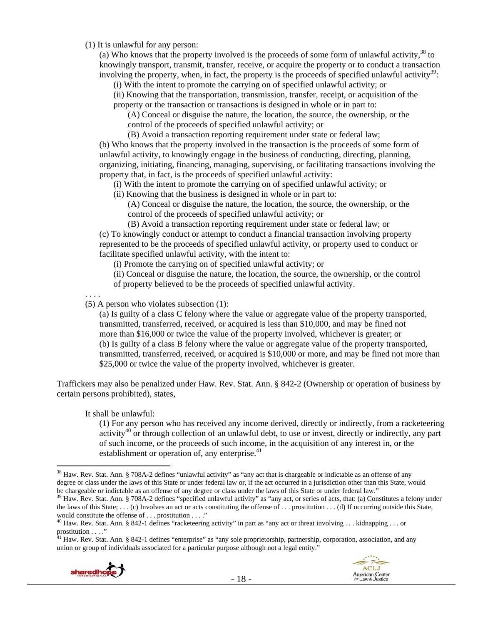(1) It is unlawful for any person:

(a) Who knows that the property involved is the proceeds of some form of unlawful activity,  $38$  to knowingly transport, transmit, transfer, receive, or acquire the property or to conduct a transaction involving the property, when, in fact, the property is the proceeds of specified unlawful activity<sup>39</sup>:

(i) With the intent to promote the carrying on of specified unlawful activity; or

(ii) Knowing that the transportation, transmission, transfer, receipt, or acquisition of the property or the transaction or transactions is designed in whole or in part to:

(A) Conceal or disguise the nature, the location, the source, the ownership, or the control of the proceeds of specified unlawful activity; or

(B) Avoid a transaction reporting requirement under state or federal law; (b) Who knows that the property involved in the transaction is the proceeds of some form of unlawful activity, to knowingly engage in the business of conducting, directing, planning, organizing, initiating, financing, managing, supervising, or facilitating transactions involving the property that, in fact, is the proceeds of specified unlawful activity:

(i) With the intent to promote the carrying on of specified unlawful activity; or

(ii) Knowing that the business is designed in whole or in part to:

(A) Conceal or disguise the nature, the location, the source, the ownership, or the control of the proceeds of specified unlawful activity; or

(B) Avoid a transaction reporting requirement under state or federal law; or (c) To knowingly conduct or attempt to conduct a financial transaction involving property represented to be the proceeds of specified unlawful activity, or property used to conduct or facilitate specified unlawful activity, with the intent to:

(i) Promote the carrying on of specified unlawful activity; or

(ii) Conceal or disguise the nature, the location, the source, the ownership, or the control of property believed to be the proceeds of specified unlawful activity.

. . . .

(5) A person who violates subsection (1):

(a) Is guilty of a class C felony where the value or aggregate value of the property transported, transmitted, transferred, received, or acquired is less than \$10,000, and may be fined not more than \$16,000 or twice the value of the property involved, whichever is greater; or (b) Is guilty of a class B felony where the value or aggregate value of the property transported, transmitted, transferred, received, or acquired is \$10,000 or more, and may be fined not more than \$25,000 or twice the value of the property involved, whichever is greater.

Traffickers may also be penalized under Haw. Rev. Stat. Ann. § 842-2 (Ownership or operation of business by certain persons prohibited), states,

It shall be unlawful:

(1) For any person who has received any income derived, directly or indirectly, from a racketeering activity<sup>40</sup> or through collection of an unlawful debt, to use or invest, directly or indirectly, any part of such income, or the proceeds of such income, in the acquisition of any interest in, or the establishment or operation of, any enterprise. $41$ 

<sup>&</sup>lt;sup>41</sup> Haw. Rev. Stat. Ann. § 842-1 defines "enterprise" as "any sole proprietorship, partnership, corporation, association, and any union or group of individuals associated for a particular purpose although not a legal entity."



<sup>&</sup>lt;sup>38</sup> Haw. Rev. Stat. Ann. § 708A-2 defines "unlawful activity" as "any act that is chargeable or indictable as an offense of any degree or class under the laws of this State or under federal law or, if the act occurred in a jurisdiction other than this State, would be chargeable or indictable as an offense of any degree or class under the laws of this State or under federal law."<br><sup>39</sup> Haw. Rev. Stat. Ann. § 708A-2 defines "specified unlawful activity" as "any act, or series of acts,

the laws of this State; ... (c) Involves an act or acts constituting the offense of ... prostitution ... (d) If occurring outside this State, would constitute the offense of ... prostitution ...."

 $40$  Haw. Rev. Stat. Ann. § 842-1 defines "racketeering activity" in part as "any act or threat involving . . . kidnapping . . . or prostitution . . . ."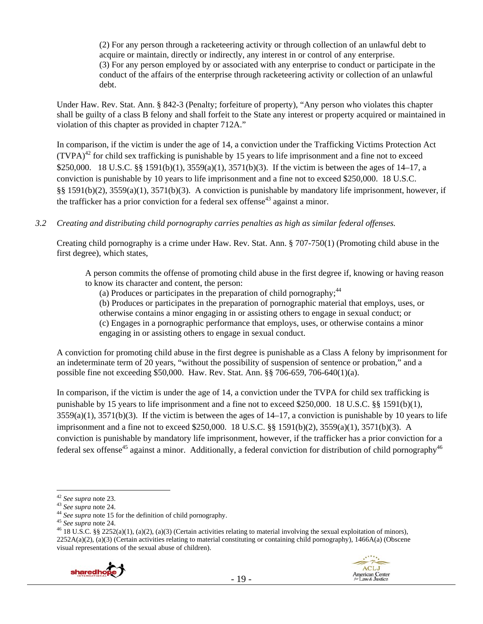(2) For any person through a racketeering activity or through collection of an unlawful debt to acquire or maintain, directly or indirectly, any interest in or control of any enterprise. (3) For any person employed by or associated with any enterprise to conduct or participate in the conduct of the affairs of the enterprise through racketeering activity or collection of an unlawful debt.

Under Haw. Rev. Stat. Ann. § 842-3 (Penalty; forfeiture of property), "Any person who violates this chapter shall be guilty of a class B felony and shall forfeit to the State any interest or property acquired or maintained in violation of this chapter as provided in chapter 712A."

In comparison, if the victim is under the age of 14, a conviction under the Trafficking Victims Protection Act  $(TVPA)<sup>42</sup>$  for child sex trafficking is punishable by 15 years to life imprisonment and a fine not to exceed \$250,000. 18 U.S.C. §§ 1591(b)(1), 3559(a)(1), 3571(b)(3). If the victim is between the ages of 14–17, a conviction is punishable by 10 years to life imprisonment and a fine not to exceed \$250,000. 18 U.S.C. §§ 1591(b)(2), 3559(a)(1), 3571(b)(3). A conviction is punishable by mandatory life imprisonment, however, if the trafficker has a prior conviction for a federal sex offense<sup>43</sup> against a minor.

*3.2 Creating and distributing child pornography carries penalties as high as similar federal offenses.*

Creating child pornography is a crime under Haw. Rev. Stat. Ann. § 707-750(1) (Promoting child abuse in the first degree), which states,

A person commits the offense of promoting child abuse in the first degree if, knowing or having reason to know its character and content, the person:

(a) Produces or participates in the preparation of child pornography; $44$ 

(b) Produces or participates in the preparation of pornographic material that employs, uses, or

otherwise contains a minor engaging in or assisting others to engage in sexual conduct; or

(c) Engages in a pornographic performance that employs, uses, or otherwise contains a minor engaging in or assisting others to engage in sexual conduct.

A conviction for promoting child abuse in the first degree is punishable as a Class A felony by imprisonment for an indeterminate term of 20 years, "without the possibility of suspension of sentence or probation," and a possible fine not exceeding \$50,000. Haw. Rev. Stat. Ann. §§ 706-659, 706-640(1)(a).

In comparison, if the victim is under the age of 14, a conviction under the TVPA for child sex trafficking is punishable by 15 years to life imprisonment and a fine not to exceed \$250,000. 18 U.S.C. §§ 1591(b)(1),  $3559(a)(1)$ ,  $3571(b)(3)$ . If the victim is between the ages of  $14-17$ , a conviction is punishable by 10 years to life imprisonment and a fine not to exceed \$250,000. 18 U.S.C. §§ 1591(b)(2), 3559(a)(1), 3571(b)(3). A conviction is punishable by mandatory life imprisonment, however, if the trafficker has a prior conviction for a federal sex offense<sup>45</sup> against a minor. Additionally, a federal conviction for distribution of child pornography<sup>46</sup>

<sup>&</sup>lt;sup>43</sup> See supra note 24.<br><sup>44</sup> See supra note 15 for the definition of child pornography.<br><sup>45</sup> See supra note 24.<br><sup>45</sup> I8 U.S.C. §§ 2252(a)(1), (a)(2), (a)(3) (Certain activities relating to material involving the sexual ex  $2252A(a)(2)$ , (a)(3) (Certain activities relating to material constituting or containing child pornography), 1466A(a) (Obscene visual representations of the sexual abuse of children).



<sup>&</sup>lt;sup>42</sup> See supra note 23.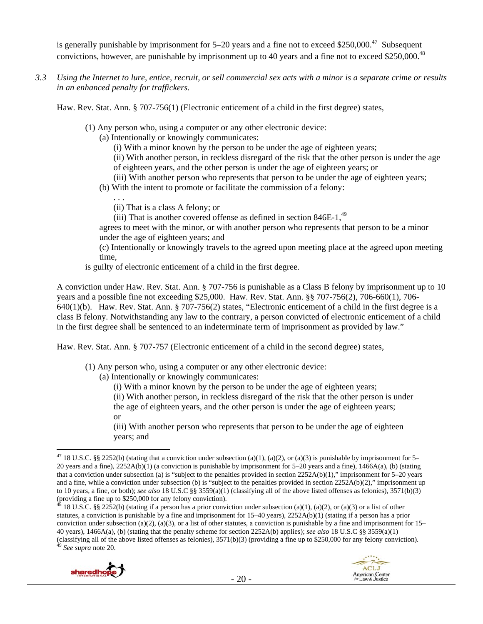is generally punishable by imprisonment for  $5-20$  years and a fine not to exceed \$250,000.<sup>47</sup> Subsequent convictions, however, are punishable by imprisonment up to 40 years and a fine not to exceed \$250,000.48

*3.3 Using the Internet to lure, entice, recruit, or sell commercial sex acts with a minor is a separate crime or results in an enhanced penalty for traffickers.* 

Haw. Rev. Stat. Ann. § 707-756(1) (Electronic enticement of a child in the first degree) states,

- (1) Any person who, using a computer or any other electronic device:
	- (a) Intentionally or knowingly communicates:
		- (i) With a minor known by the person to be under the age of eighteen years;

(ii) With another person, in reckless disregard of the risk that the other person is under the age of eighteen years, and the other person is under the age of eighteen years; or

(iii) With another person who represents that person to be under the age of eighteen years;

(b) With the intent to promote or facilitate the commission of a felony:

. . . (ii) That is a class A felony; or

(iii) That is another covered offense as defined in section  $846E-1$ ,  $49$ 

agrees to meet with the minor, or with another person who represents that person to be a minor under the age of eighteen years; and

(c) Intentionally or knowingly travels to the agreed upon meeting place at the agreed upon meeting time,

is guilty of electronic enticement of a child in the first degree.

A conviction under Haw. Rev. Stat. Ann. § 707-756 is punishable as a Class B felony by imprisonment up to 10 years and a possible fine not exceeding \$25,000. Haw. Rev. Stat. Ann. §§ 707-756(2), 706-660(1), 706- 640(1)(b). Haw. Rev. Stat. Ann. § 707-756(2) states, "Electronic enticement of a child in the first degree is a class B felony. Notwithstanding any law to the contrary, a person convicted of electronic enticement of a child in the first degree shall be sentenced to an indeterminate term of imprisonment as provided by law."

Haw. Rev. Stat. Ann. § 707-757 (Electronic enticement of a child in the second degree) states,

(1) Any person who, using a computer or any other electronic device:

(a) Intentionally or knowingly communicates:

(i) With a minor known by the person to be under the age of eighteen years;

(ii) With another person, in reckless disregard of the risk that the other person is under the age of eighteen years, and the other person is under the age of eighteen years;

or

(iii) With another person who represents that person to be under the age of eighteen years; and

<sup>48 18</sup> U.S.C. §§ 2252(b) (stating if a person has a prior conviction under subsection (a)(1), (a)(2), or (a)(3) or a list of other statutes, a conviction is punishable by a fine and imprisonment for 15–40 years), 2252A(b)(1) (stating if a person has a prior conviction under subsection (a)(2), (a)(3), or a list of other statutes, a conviction is punishable by a fine and imprisonment for  $15-$ 40 years), 1466A(a), (b) (stating that the penalty scheme for section 2252A(b) applies); *see also* 18 U.S.C §§ 3559(a)(1) (classifying all of the above listed offenses as felonies), 3571(b)(3) (providing a fine up to \$250,000 for any felony conviction). 49 *See supra* note 20.



 $\overline{a}$ <sup>47</sup> 18 U.S.C. §§ 2252(b) (stating that a conviction under subsection (a)(1), (a)(2), or (a)(3) is punishable by imprisonment for 5– 20 years and a fine), 2252A(b)(1) (a conviction is punishable by imprisonment for 5–20 years and a fine), 1466A(a), (b) (stating that a conviction under subsection (a) is "subject to the penalties provided in section 2252A(b)(1)," imprisonment for 5–20 years and a fine, while a conviction under subsection (b) is "subject to the penalties provided in section 2252A(b)(2)," imprisonment up to 10 years, a fine, or both); *see also* 18 U.S.C §§ 3559(a)(1) (classifying all of the above listed offenses as felonies), 3571(b)(3) (providing a fine up to \$250,000 for any felony conviction).<br> $\frac{48}{18}$  18 U.S.C. and the up to \$250,000 for any felony conviction).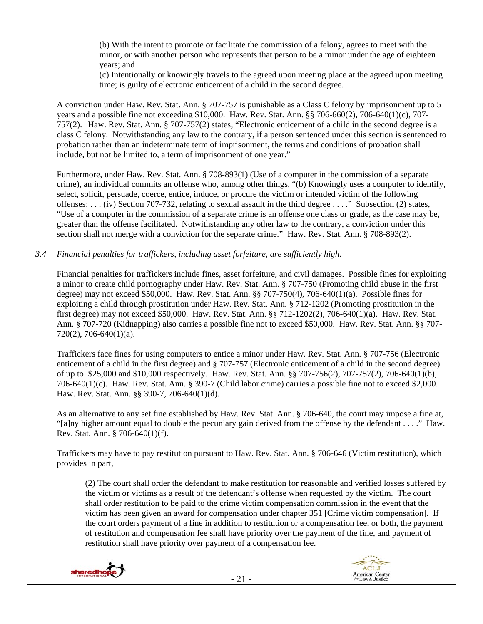(b) With the intent to promote or facilitate the commission of a felony, agrees to meet with the minor, or with another person who represents that person to be a minor under the age of eighteen years; and

(c) Intentionally or knowingly travels to the agreed upon meeting place at the agreed upon meeting time; is guilty of electronic enticement of a child in the second degree.

A conviction under Haw. Rev. Stat. Ann. § 707-757 is punishable as a Class C felony by imprisonment up to 5 years and a possible fine not exceeding \$10,000. Haw. Rev. Stat. Ann. §§ 706-660(2), 706-640(1)(c), 707- 757(2). Haw. Rev. Stat. Ann. § 707-757(2) states, "Electronic enticement of a child in the second degree is a class C felony. Notwithstanding any law to the contrary, if a person sentenced under this section is sentenced to probation rather than an indeterminate term of imprisonment, the terms and conditions of probation shall include, but not be limited to, a term of imprisonment of one year."

Furthermore, under Haw. Rev. Stat. Ann. § 708-893(1) (Use of a computer in the commission of a separate crime), an individual commits an offense who, among other things, "(b) Knowingly uses a computer to identify, select, solicit, persuade, coerce, entice, induce, or procure the victim or intended victim of the following offenses: . . . (iv) Section 707-732, relating to sexual assault in the third degree . . . ." Subsection (2) states, "Use of a computer in the commission of a separate crime is an offense one class or grade, as the case may be, greater than the offense facilitated. Notwithstanding any other law to the contrary, a conviction under this section shall not merge with a conviction for the separate crime." Haw. Rev. Stat. Ann. § 708-893(2).

#### *3.4 Financial penalties for traffickers, including asset forfeiture, are sufficiently high*.

Financial penalties for traffickers include fines, asset forfeiture, and civil damages. Possible fines for exploiting a minor to create child pornography under Haw. Rev. Stat. Ann. § 707-750 (Promoting child abuse in the first degree) may not exceed \$50,000. Haw. Rev. Stat. Ann. §§ 707-750(4), 706-640(1)(a). Possible fines for exploiting a child through prostitution under Haw. Rev. Stat. Ann. § 712-1202 (Promoting prostitution in the first degree) may not exceed \$50,000. Haw. Rev. Stat. Ann. §§ 712-1202(2), 706-640(1)(a). Haw. Rev. Stat. Ann. § 707-720 (Kidnapping) also carries a possible fine not to exceed \$50,000. Haw. Rev. Stat. Ann. §§ 707- 720(2), 706-640(1)(a).

Traffickers face fines for using computers to entice a minor under Haw. Rev. Stat. Ann. § 707-756 (Electronic enticement of a child in the first degree) and § 707-757 (Electronic enticement of a child in the second degree) of up to \$25,000 and \$10,000 respectively. Haw. Rev. Stat. Ann. §§ 707-756(2), 707-757(2), 706-640(1)(b), 706-640(1)(c). Haw. Rev. Stat. Ann. § 390-7 (Child labor crime) carries a possible fine not to exceed \$2,000. Haw. Rev. Stat. Ann. §§ 390-7, 706-640(1)(d).

As an alternative to any set fine established by Haw. Rev. Stat. Ann. § 706-640, the court may impose a fine at, "[a]ny higher amount equal to double the pecuniary gain derived from the offense by the defendant . . . ." Haw. Rev. Stat. Ann. § 706-640(1)(f).

Traffickers may have to pay restitution pursuant to Haw. Rev. Stat. Ann. § 706-646 (Victim restitution), which provides in part,

(2) The court shall order the defendant to make restitution for reasonable and verified losses suffered by the victim or victims as a result of the defendant's offense when requested by the victim. The court shall order restitution to be paid to the crime victim compensation commission in the event that the victim has been given an award for compensation under chapter 351 [Crime victim compensation]. If the court orders payment of a fine in addition to restitution or a compensation fee, or both, the payment of restitution and compensation fee shall have priority over the payment of the fine, and payment of restitution shall have priority over payment of a compensation fee.



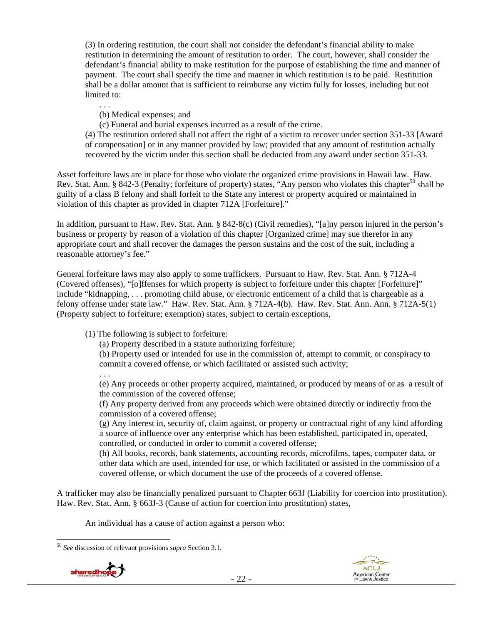(3) In ordering restitution, the court shall not consider the defendant's financial ability to make restitution in determining the amount of restitution to order. The court, however, shall consider the defendant's financial ability to make restitution for the purpose of establishing the time and manner of payment. The court shall specify the time and manner in which restitution is to be paid. Restitution shall be a dollar amount that is sufficient to reimburse any victim fully for losses, including but not limited to:

. . .

(b) Medical expenses; and

(c) Funeral and burial expenses incurred as a result of the crime.

(4) The restitution ordered shall not affect the right of a victim to recover under section 351-33 [Award of compensation] or in any manner provided by law; provided that any amount of restitution actually recovered by the victim under this section shall be deducted from any award under section 351-33.

Asset forfeiture laws are in place for those who violate the organized crime provisions in Hawaii law. Haw. Rev. Stat. Ann. § 842-3 (Penalty; forfeiture of property) states, "Any person who violates this chapter<sup>50</sup> shall be guilty of a class B felony and shall forfeit to the State any interest or property acquired or maintained in violation of this chapter as provided in chapter 712A [Forfeiture]."

In addition, pursuant to Haw. Rev. Stat. Ann. § 842-8(c) (Civil remedies), "[a]ny person injured in the person's business or property by reason of a violation of this chapter [Organized crime] may sue therefor in any appropriate court and shall recover the damages the person sustains and the cost of the suit, including a reasonable attorney's fee."

General forfeiture laws may also apply to some traffickers. Pursuant to Haw. Rev. Stat. Ann. § 712A-4 (Covered offenses), "[o]ffenses for which property is subject to forfeiture under this chapter [Forfeiture]" include "kidnapping, . . . promoting child abuse, or electronic enticement of a child that is chargeable as a felony offense under state law." Haw. Rev. Stat. Ann. § 712A-4(b). Haw. Rev. Stat. Ann. Ann. § 712A-5(1) (Property subject to forfeiture; exemption) states, subject to certain exceptions,

(1) The following is subject to forfeiture:

(a) Property described in a statute authorizing forfeiture;

(b) Property used or intended for use in the commission of, attempt to commit, or conspiracy to commit a covered offense, or which facilitated or assisted such activity;

. . . (e) Any proceeds or other property acquired, maintained, or produced by means of or as a result of the commission of the covered offense;

(f) Any property derived from any proceeds which were obtained directly or indirectly from the commission of a covered offense;

(g) Any interest in, security of, claim against, or property or contractual right of any kind affording a source of influence over any enterprise which has been established, participated in, operated, controlled, or conducted in order to commit a covered offense;

(h) All books, records, bank statements, accounting records, microfilms, tapes, computer data, or other data which are used, intended for use, or which facilitated or assisted in the commission of a covered offense, or which document the use of the proceeds of a covered offense.

A trafficker may also be financially penalized pursuant to Chapter 663J (Liability for coercion into prostitution). Haw. Rev. Stat. Ann. § 663J-3 (Cause of action for coercion into prostitution) states,

An individual has a cause of action against a person who:

 $\overline{a}$ <sup>50</sup> *See* discussion of relevant provisions *supra* Section 3.1.



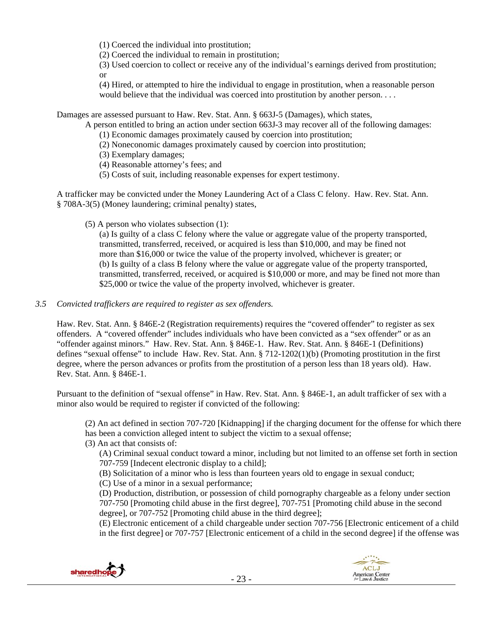(1) Coerced the individual into prostitution;

(2) Coerced the individual to remain in prostitution;

(3) Used coercion to collect or receive any of the individual's earnings derived from prostitution; or

(4) Hired, or attempted to hire the individual to engage in prostitution, when a reasonable person would believe that the individual was coerced into prostitution by another person. . . .

Damages are assessed pursuant to Haw. Rev. Stat. Ann. § 663J-5 (Damages), which states,

A person entitled to bring an action under section 663J-3 may recover all of the following damages:

- (1) Economic damages proximately caused by coercion into prostitution;
- (2) Noneconomic damages proximately caused by coercion into prostitution;
- (3) Exemplary damages;
- (4) Reasonable attorney's fees; and
- (5) Costs of suit, including reasonable expenses for expert testimony.

A trafficker may be convicted under the Money Laundering Act of a Class C felony. Haw. Rev. Stat. Ann. § 708A-3(5) (Money laundering; criminal penalty) states,

(5) A person who violates subsection (1):

(a) Is guilty of a class C felony where the value or aggregate value of the property transported, transmitted, transferred, received, or acquired is less than \$10,000, and may be fined not more than \$16,000 or twice the value of the property involved, whichever is greater; or (b) Is guilty of a class B felony where the value or aggregate value of the property transported, transmitted, transferred, received, or acquired is \$10,000 or more, and may be fined not more than \$25,000 or twice the value of the property involved, whichever is greater.

## *3.5 Convicted traffickers are required to register as sex offenders.*

Haw. Rev. Stat. Ann. § 846E-2 (Registration requirements) requires the "covered offender" to register as sex offenders. A "covered offender" includes individuals who have been convicted as a "sex offender" or as an "offender against minors." Haw. Rev. Stat. Ann. § 846E-1. Haw. Rev. Stat. Ann. § 846E-1 (Definitions) defines "sexual offense" to include Haw. Rev. Stat. Ann. § 712-1202(1)(b) (Promoting prostitution in the first degree, where the person advances or profits from the prostitution of a person less than 18 years old). Haw. Rev. Stat. Ann. § 846E-1.

Pursuant to the definition of "sexual offense" in Haw. Rev. Stat. Ann. § 846E-1, an adult trafficker of sex with a minor also would be required to register if convicted of the following:

(2) An act defined in section 707-720 [Kidnapping] if the charging document for the offense for which there has been a conviction alleged intent to subject the victim to a sexual offense;

(3) An act that consists of:

(A) Criminal sexual conduct toward a minor, including but not limited to an offense set forth in section 707-759 [Indecent electronic display to a child];

(B) Solicitation of a minor who is less than fourteen years old to engage in sexual conduct;

(C) Use of a minor in a sexual performance;

(D) Production, distribution, or possession of child pornography chargeable as a felony under section 707-750 [Promoting child abuse in the first degree], 707-751 [Promoting child abuse in the second degree], or 707-752 [Promoting child abuse in the third degree];

(E) Electronic enticement of a child chargeable under section 707-756 [Electronic enticement of a child in the first degree] or 707-757 [Electronic enticement of a child in the second degree] if the offense was



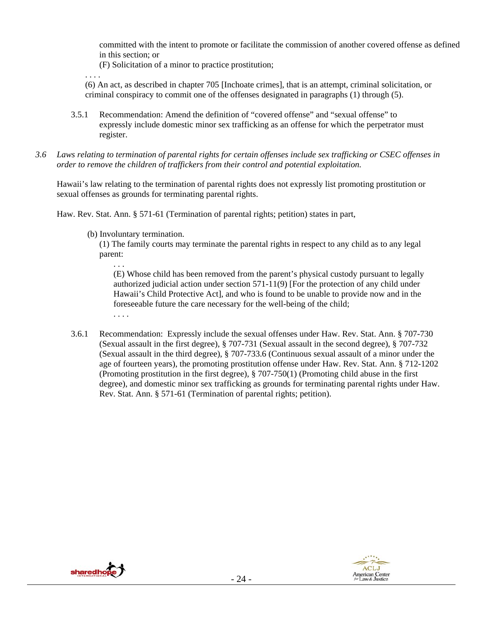committed with the intent to promote or facilitate the commission of another covered offense as defined in this section; or

(F) Solicitation of a minor to practice prostitution;

(6) An act, as described in chapter 705 [Inchoate crimes], that is an attempt, criminal solicitation, or criminal conspiracy to commit one of the offenses designated in paragraphs (1) through (5).

- 3.5.1 Recommendation: Amend the definition of "covered offense" and "sexual offense" to expressly include domestic minor sex trafficking as an offense for which the perpetrator must register.
- *3.6 Laws relating to termination of parental rights for certain offenses include sex trafficking or CSEC offenses in order to remove the children of traffickers from their control and potential exploitation.*

Hawaii's law relating to the termination of parental rights does not expressly list promoting prostitution or sexual offenses as grounds for terminating parental rights.

Haw. Rev. Stat. Ann. § 571-61 (Termination of parental rights; petition) states in part,

(b) Involuntary termination.

. . . .

. . . .

(1) The family courts may terminate the parental rights in respect to any child as to any legal parent:

. . . (E) Whose child has been removed from the parent's physical custody pursuant to legally authorized judicial action under section 571-11(9) [For the protection of any child under Hawaii's Child Protective Act], and who is found to be unable to provide now and in the foreseeable future the care necessary for the well-being of the child;

3.6.1 Recommendation: Expressly include the sexual offenses under Haw. Rev. Stat. Ann. § 707-730 (Sexual assault in the first degree), § 707-731 (Sexual assault in the second degree), § 707-732 (Sexual assault in the third degree), § 707-733.6 (Continuous sexual assault of a minor under the age of fourteen years), the promoting prostitution offense under Haw. Rev. Stat. Ann. § 712-1202 (Promoting prostitution in the first degree), § 707-750(1) (Promoting child abuse in the first degree), and domestic minor sex trafficking as grounds for terminating parental rights under Haw. Rev. Stat. Ann. § 571-61 (Termination of parental rights; petition).



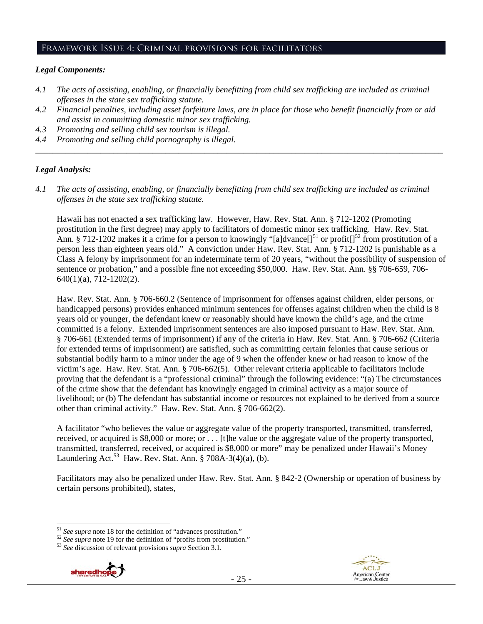#### Framework Issue 4: Criminal provisions for facilitators

#### *Legal Components:*

- *4.1 The acts of assisting, enabling, or financially benefitting from child sex trafficking are included as criminal offenses in the state sex trafficking statute.*
- *4.2 Financial penalties, including asset forfeiture laws, are in place for those who benefit financially from or aid and assist in committing domestic minor sex trafficking.*
- *4.3 Promoting and selling child sex tourism is illegal.*
- *4.4 Promoting and selling child pornography is illegal. \_\_\_\_\_\_\_\_\_\_\_\_\_\_\_\_\_\_\_\_\_\_\_\_\_\_\_\_\_\_\_\_\_\_\_\_\_\_\_\_\_\_\_\_\_\_\_\_\_\_\_\_\_\_\_\_\_\_\_\_\_\_\_\_\_\_\_\_\_\_\_\_\_\_\_\_\_\_\_\_\_\_\_\_\_\_\_\_\_\_\_\_\_\_*

## *Legal Analysis:*

*4.1 The acts of assisting, enabling, or financially benefitting from child sex trafficking are included as criminal offenses in the state sex trafficking statute.*

Hawaii has not enacted a sex trafficking law. However, Haw. Rev. Stat. Ann. § 712-1202 (Promoting prostitution in the first degree) may apply to facilitators of domestic minor sex trafficking. Haw. Rev. Stat. Ann. § 712-1202 makes it a crime for a person to knowingly "[a]dvance]<sup>51</sup> or profit<sup>[152</sup> from prostitution of a person less than eighteen years old." A conviction under Haw. Rev. Stat. Ann. § 712-1202 is punishable as a Class A felony by imprisonment for an indeterminate term of 20 years, "without the possibility of suspension of sentence or probation," and a possible fine not exceeding \$50,000. Haw. Rev. Stat. Ann. §§ 706-659, 706- 640(1)(a), 712-1202(2).

Haw. Rev. Stat. Ann. § 706-660.2 (Sentence of imprisonment for offenses against children, elder persons, or handicapped persons) provides enhanced minimum sentences for offenses against children when the child is 8 years old or younger, the defendant knew or reasonably should have known the child's age, and the crime committed is a felony. Extended imprisonment sentences are also imposed pursuant to Haw. Rev. Stat. Ann. § 706-661 (Extended terms of imprisonment) if any of the criteria in Haw. Rev. Stat. Ann. § 706-662 (Criteria for extended terms of imprisonment) are satisfied, such as committing certain felonies that cause serious or substantial bodily harm to a minor under the age of 9 when the offender knew or had reason to know of the victim's age. Haw. Rev. Stat. Ann. § 706-662(5). Other relevant criteria applicable to facilitators include proving that the defendant is a "professional criminal" through the following evidence: "(a) The circumstances of the crime show that the defendant has knowingly engaged in criminal activity as a major source of livelihood; or (b) The defendant has substantial income or resources not explained to be derived from a source other than criminal activity." Haw. Rev. Stat. Ann. § 706-662(2).

A facilitator "who believes the value or aggregate value of the property transported, transmitted, transferred, received, or acquired is \$8,000 or more; or . . . [t]he value or the aggregate value of the property transported, transmitted, transferred, received, or acquired is \$8,000 or more" may be penalized under Hawaii's Money Laundering Act.<sup>53</sup> Haw. Rev. Stat. Ann. § 708A-3(4)(a), (b).

Facilitators may also be penalized under Haw. Rev. Stat. Ann. § 842-2 (Ownership or operation of business by certain persons prohibited), states,





<sup>&</sup>lt;sup>51</sup> See supra note 18 for the definition of "advances prostitution."<br><sup>52</sup> See supra note 19 for the definition of "profits from prostitution."<br><sup>53</sup> See discussion of relevant provisions *supra* Section 3.1.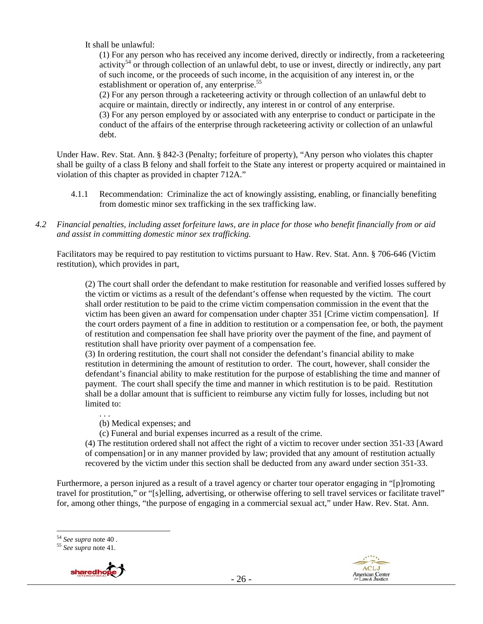It shall be unlawful:

(1) For any person who has received any income derived, directly or indirectly, from a racketeering activity<sup>54</sup> or through collection of an unlawful debt, to use or invest, directly or indirectly, any part of such income, or the proceeds of such income, in the acquisition of any interest in, or the establishment or operation of, any enterprise.<sup>55</sup>

(2) For any person through a racketeering activity or through collection of an unlawful debt to acquire or maintain, directly or indirectly, any interest in or control of any enterprise.

(3) For any person employed by or associated with any enterprise to conduct or participate in the conduct of the affairs of the enterprise through racketeering activity or collection of an unlawful debt.

Under Haw. Rev. Stat. Ann. § 842-3 (Penalty; forfeiture of property), "Any person who violates this chapter shall be guilty of a class B felony and shall forfeit to the State any interest or property acquired or maintained in violation of this chapter as provided in chapter 712A."

- 4.1.1 Recommendation: Criminalize the act of knowingly assisting, enabling, or financially benefiting from domestic minor sex trafficking in the sex trafficking law.
- *4.2 Financial penalties, including asset forfeiture laws, are in place for those who benefit financially from or aid and assist in committing domestic minor sex trafficking.*

Facilitators may be required to pay restitution to victims pursuant to Haw. Rev. Stat. Ann. § 706-646 (Victim restitution), which provides in part,

(2) The court shall order the defendant to make restitution for reasonable and verified losses suffered by the victim or victims as a result of the defendant's offense when requested by the victim. The court shall order restitution to be paid to the crime victim compensation commission in the event that the victim has been given an award for compensation under chapter 351 [Crime victim compensation]. If the court orders payment of a fine in addition to restitution or a compensation fee, or both, the payment of restitution and compensation fee shall have priority over the payment of the fine, and payment of restitution shall have priority over payment of a compensation fee.

(3) In ordering restitution, the court shall not consider the defendant's financial ability to make restitution in determining the amount of restitution to order. The court, however, shall consider the defendant's financial ability to make restitution for the purpose of establishing the time and manner of payment. The court shall specify the time and manner in which restitution is to be paid. Restitution shall be a dollar amount that is sufficient to reimburse any victim fully for losses, including but not limited to:

(b) Medical expenses; and

(c) Funeral and burial expenses incurred as a result of the crime.

(4) The restitution ordered shall not affect the right of a victim to recover under section 351-33 [Award of compensation] or in any manner provided by law; provided that any amount of restitution actually recovered by the victim under this section shall be deducted from any award under section 351-33.

Furthermore, a person injured as a result of a travel agency or charter tour operator engaging in "[p]romoting travel for prostitution," or "[s]elling, advertising, or otherwise offering to sell travel services or facilitate travel" for, among other things, "the purpose of engaging in a commercial sexual act," under Haw. Rev. Stat. Ann.

 $\overline{a}$ <sup>54</sup> *See supra* note 40 . 55 *See supra* note 41.



. . .

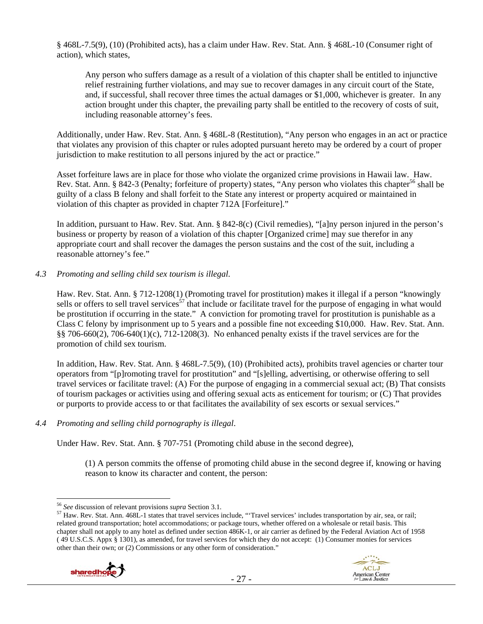§ 468L-7.5(9), (10) (Prohibited acts), has a claim under Haw. Rev. Stat. Ann. § 468L-10 (Consumer right of action), which states,

Any person who suffers damage as a result of a violation of this chapter shall be entitled to injunctive relief restraining further violations, and may sue to recover damages in any circuit court of the State, and, if successful, shall recover three times the actual damages or \$1,000, whichever is greater. In any action brought under this chapter, the prevailing party shall be entitled to the recovery of costs of suit, including reasonable attorney's fees.

Additionally, under Haw. Rev. Stat. Ann. § 468L-8 (Restitution), "Any person who engages in an act or practice that violates any provision of this chapter or rules adopted pursuant hereto may be ordered by a court of proper jurisdiction to make restitution to all persons injured by the act or practice."

Asset forfeiture laws are in place for those who violate the organized crime provisions in Hawaii law. Haw. Rev. Stat. Ann. § 842-3 (Penalty; forfeiture of property) states, "Any person who violates this chapter<sup>56</sup> shall be guilty of a class B felony and shall forfeit to the State any interest or property acquired or maintained in violation of this chapter as provided in chapter 712A [Forfeiture]."

In addition, pursuant to Haw. Rev. Stat. Ann. § 842-8(c) (Civil remedies), "[a]ny person injured in the person's business or property by reason of a violation of this chapter [Organized crime] may sue therefor in any appropriate court and shall recover the damages the person sustains and the cost of the suit, including a reasonable attorney's fee."

## *4.3 Promoting and selling child sex tourism is illegal*.

Haw. Rev. Stat. Ann. § 712-1208(1) (Promoting travel for prostitution) makes it illegal if a person "knowingly sells or offers to sell travel services<sup>57</sup> that include or facilitate travel for the purpose of engaging in what would be prostitution if occurring in the state." A conviction for promoting travel for prostitution is punishable as a Class C felony by imprisonment up to 5 years and a possible fine not exceeding \$10,000. Haw. Rev. Stat. Ann. §§ 706-660(2), 706-640(1)(c), 712-1208(3). No enhanced penalty exists if the travel services are for the promotion of child sex tourism.

In addition, Haw. Rev. Stat. Ann. § 468L-7.5(9), (10) (Prohibited acts), prohibits travel agencies or charter tour operators from "[p]romoting travel for prostitution" and "[s]elling, advertising, or otherwise offering to sell travel services or facilitate travel: (A) For the purpose of engaging in a commercial sexual act; (B) That consists of tourism packages or activities using and offering sexual acts as enticement for tourism; or (C) That provides or purports to provide access to or that facilitates the availability of sex escorts or sexual services."

# *4.4 Promoting and selling child pornography is illegal*.

Under Haw. Rev. Stat. Ann. § 707-751 (Promoting child abuse in the second degree),

(1) A person commits the offense of promoting child abuse in the second degree if, knowing or having reason to know its character and content, the person:

<sup>&</sup>lt;sup>56</sup> See discussion of relevant provisions *supra* Section 3.1.<br><sup>57</sup> Haw. Rev. Stat. Ann. 468L-1 states that travel services include, "'Travel services' includes transportation by air, sea, or rail; related ground transportation; hotel accommodations; or package tours, whether offered on a wholesale or retail basis. This chapter shall not apply to any hotel as defined under section 486K-1, or air carrier as defined by the Federal Aviation Act of 1958 ( 49 U.S.C.S. Appx § 1301), as amended, for travel services for which they do not accept: (1) Consumer monies for services other than their own; or (2) Commissions or any other form of consideration."



 $\overline{a}$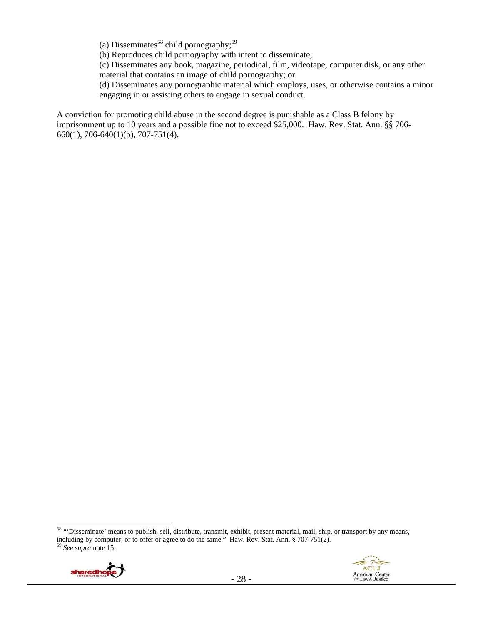(a) Disseminates<sup>58</sup> child pornography;<sup>59</sup>

(b) Reproduces child pornography with intent to disseminate;

(c) Disseminates any book, magazine, periodical, film, videotape, computer disk, or any other material that contains an image of child pornography; or

(d) Disseminates any pornographic material which employs, uses, or otherwise contains a minor engaging in or assisting others to engage in sexual conduct.

A conviction for promoting child abuse in the second degree is punishable as a Class B felony by imprisonment up to 10 years and a possible fine not to exceed \$25,000. Haw. Rev. Stat. Ann. §§ 706- 660(1), 706-640(1)(b), 707-751(4).

<sup>&</sup>lt;sup>58</sup> "Disseminate' means to publish, sell, distribute, transmit, exhibit, present material, mail, ship, or transport by any means, including by computer, or to offer or agree to do the same." Haw. Rev. Stat. Ann. § 707-751(2). 59 *See supra* note 15.

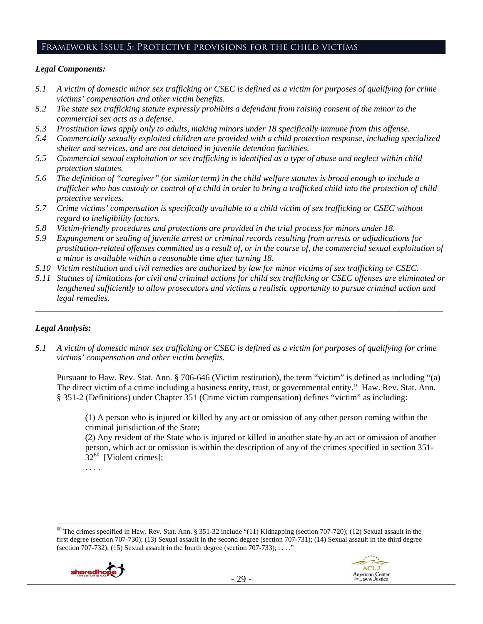## Framework Issue 5: Protective provisions for the child victims

## *Legal Components:*

- *5.1 A victim of domestic minor sex trafficking or CSEC is defined as a victim for purposes of qualifying for crime victims' compensation and other victim benefits.*
- *5.2 The state sex trafficking statute expressly prohibits a defendant from raising consent of the minor to the commercial sex acts as a defense.*
- *5.3 Prostitution laws apply only to adults, making minors under 18 specifically immune from this offense.*
- *5.4 Commercially sexually exploited children are provided with a child protection response, including specialized shelter and services, and are not detained in juvenile detention facilities.*
- *5.5 Commercial sexual exploitation or sex trafficking is identified as a type of abuse and neglect within child protection statutes.*
- *5.6 The definition of "caregiver" (or similar term) in the child welfare statutes is broad enough to include a trafficker who has custody or control of a child in order to bring a trafficked child into the protection of child protective services.*
- *5.7 Crime victims' compensation is specifically available to a child victim of sex trafficking or CSEC without regard to ineligibility factors.*
- *5.8 Victim-friendly procedures and protections are provided in the trial process for minors under 18.*
- *5.9 Expungement or sealing of juvenile arrest or criminal records resulting from arrests or adjudications for prostitution-related offenses committed as a result of, or in the course of, the commercial sexual exploitation of a minor is available within a reasonable time after turning 18.*
- *5.10 Victim restitution and civil remedies are authorized by law for minor victims of sex trafficking or CSEC.*
- *5.11 Statutes of limitations for civil and criminal actions for child sex trafficking or CSEC offenses are eliminated or lengthened sufficiently to allow prosecutors and victims a realistic opportunity to pursue criminal action and legal remedies.*

*\_\_\_\_\_\_\_\_\_\_\_\_\_\_\_\_\_\_\_\_\_\_\_\_\_\_\_\_\_\_\_\_\_\_\_\_\_\_\_\_\_\_\_\_\_\_\_\_\_\_\_\_\_\_\_\_\_\_\_\_\_\_\_\_\_\_\_\_\_\_\_\_\_\_\_\_\_\_\_\_\_\_\_\_\_\_\_\_\_\_\_\_\_\_* 

# *Legal Analysis:*

 $\overline{a}$ 

*5.1 A victim of domestic minor sex trafficking or CSEC is defined as a victim for purposes of qualifying for crime victims' compensation and other victim benefits.* 

Pursuant to Haw. Rev. Stat. Ann. § 706-646 (Victim restitution), the term "victim" is defined as including "(a) The direct victim of a crime including a business entity, trust, or governmental entity." Haw. Rev. Stat. Ann. § 351-2 (Definitions) under Chapter 351 (Crime victim compensation) defines "victim" as including:

(1) A person who is injured or killed by any act or omission of any other person coming within the criminal jurisdiction of the State;

(2) Any resident of the State who is injured or killed in another state by an act or omission of another person, which act or omission is within the description of any of the crimes specified in section 351-  $32^{60}$  [Violent crimes];

. . . .

 $60$  The crimes specified in Haw. Rev. Stat. Ann. § 351-32 include "(11) Kidnapping (section 707-720); (12) Sexual assault in the first degree (section 707-730); (13) Sexual assault in the second degree (section 707-731); (14) Sexual assault in the third degree (section 707-732); (15) Sexual assault in the fourth degree (section 707-733);  $\dots$ "

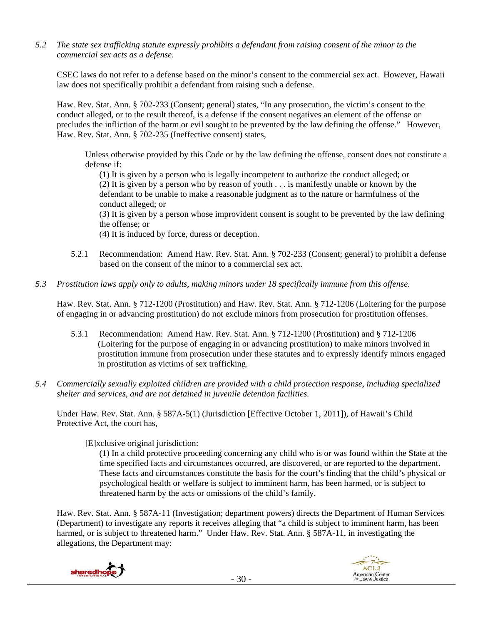*5.2 The state sex trafficking statute expressly prohibits a defendant from raising consent of the minor to the commercial sex acts as a defense.* 

CSEC laws do not refer to a defense based on the minor's consent to the commercial sex act. However, Hawaii law does not specifically prohibit a defendant from raising such a defense.

Haw. Rev. Stat. Ann. § 702-233 (Consent; general) states, "In any prosecution, the victim's consent to the conduct alleged, or to the result thereof, is a defense if the consent negatives an element of the offense or precludes the infliction of the harm or evil sought to be prevented by the law defining the offense." However, Haw. Rev. Stat. Ann. § 702-235 (Ineffective consent) states,

Unless otherwise provided by this Code or by the law defining the offense, consent does not constitute a defense if:

(1) It is given by a person who is legally incompetent to authorize the conduct alleged; or (2) It is given by a person who by reason of youth . . . is manifestly unable or known by the defendant to be unable to make a reasonable judgment as to the nature or harmfulness of the conduct alleged; or

(3) It is given by a person whose improvident consent is sought to be prevented by the law defining the offense; or

(4) It is induced by force, duress or deception.

- 5.2.1 Recommendation: Amend Haw. Rev. Stat. Ann. § 702-233 (Consent; general) to prohibit a defense based on the consent of the minor to a commercial sex act.
- *5.3 Prostitution laws apply only to adults, making minors under 18 specifically immune from this offense.*

Haw. Rev. Stat. Ann. § 712-1200 (Prostitution) and Haw. Rev. Stat. Ann. § 712-1206 (Loitering for the purpose of engaging in or advancing prostitution) do not exclude minors from prosecution for prostitution offenses.

- 5.3.1 Recommendation: Amend Haw. Rev. Stat. Ann. § 712-1200 (Prostitution) and § 712-1206 (Loitering for the purpose of engaging in or advancing prostitution) to make minors involved in prostitution immune from prosecution under these statutes and to expressly identify minors engaged in prostitution as victims of sex trafficking.
- *5.4 Commercially sexually exploited children are provided with a child protection response, including specialized shelter and services, and are not detained in juvenile detention facilities.*

Under Haw. Rev. Stat. Ann. § 587A-5(1) (Jurisdiction [Effective October 1, 2011]), of Hawaii's Child Protective Act, the court has,

[E]xclusive original jurisdiction:

(1) In a child protective proceeding concerning any child who is or was found within the State at the time specified facts and circumstances occurred, are discovered, or are reported to the department. These facts and circumstances constitute the basis for the court's finding that the child's physical or psychological health or welfare is subject to imminent harm, has been harmed, or is subject to threatened harm by the acts or omissions of the child's family.

Haw. Rev. Stat. Ann. § 587A-11 (Investigation; department powers) directs the Department of Human Services (Department) to investigate any reports it receives alleging that "a child is subject to imminent harm, has been harmed, or is subject to threatened harm." Under Haw. Rev. Stat. Ann. § 587A-11, in investigating the allegations, the Department may:



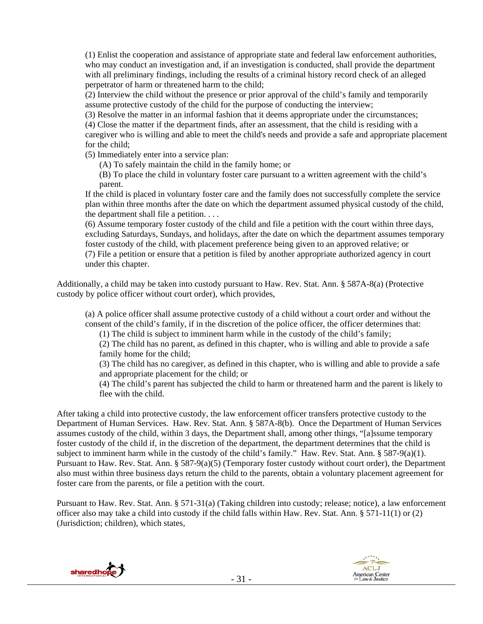(1) Enlist the cooperation and assistance of appropriate state and federal law enforcement authorities, who may conduct an investigation and, if an investigation is conducted, shall provide the department with all preliminary findings, including the results of a criminal history record check of an alleged perpetrator of harm or threatened harm to the child;

(2) Interview the child without the presence or prior approval of the child's family and temporarily assume protective custody of the child for the purpose of conducting the interview;

(3) Resolve the matter in an informal fashion that it deems appropriate under the circumstances;

(4) Close the matter if the department finds, after an assessment, that the child is residing with a caregiver who is willing and able to meet the child's needs and provide a safe and appropriate placement for the child;

(5) Immediately enter into a service plan:

(A) To safely maintain the child in the family home; or

(B) To place the child in voluntary foster care pursuant to a written agreement with the child's parent.

If the child is placed in voluntary foster care and the family does not successfully complete the service plan within three months after the date on which the department assumed physical custody of the child, the department shall file a petition. . . .

(6) Assume temporary foster custody of the child and file a petition with the court within three days, excluding Saturdays, Sundays, and holidays, after the date on which the department assumes temporary foster custody of the child, with placement preference being given to an approved relative; or (7) File a petition or ensure that a petition is filed by another appropriate authorized agency in court under this chapter.

Additionally, a child may be taken into custody pursuant to Haw. Rev. Stat. Ann. § 587A-8(a) (Protective custody by police officer without court order), which provides,

(a) A police officer shall assume protective custody of a child without a court order and without the consent of the child's family, if in the discretion of the police officer, the officer determines that:

(1) The child is subject to imminent harm while in the custody of the child's family;

(2) The child has no parent, as defined in this chapter, who is willing and able to provide a safe family home for the child;

(3) The child has no caregiver, as defined in this chapter, who is willing and able to provide a safe and appropriate placement for the child; or

(4) The child's parent has subjected the child to harm or threatened harm and the parent is likely to flee with the child.

After taking a child into protective custody, the law enforcement officer transfers protective custody to the Department of Human Services. Haw. Rev. Stat. Ann. § 587A-8(b). Once the Department of Human Services assumes custody of the child, within 3 days, the Department shall, among other things, "[a]ssume temporary foster custody of the child if, in the discretion of the department, the department determines that the child is subject to imminent harm while in the custody of the child's family." Haw. Rev. Stat. Ann. § 587-9(a)(1). Pursuant to Haw. Rev. Stat. Ann. § 587-9(a)(5) (Temporary foster custody without court order), the Department also must within three business days return the child to the parents, obtain a voluntary placement agreement for foster care from the parents, or file a petition with the court.

Pursuant to Haw. Rev. Stat. Ann. § 571-31(a) (Taking children into custody; release; notice), a law enforcement officer also may take a child into custody if the child falls within Haw. Rev. Stat. Ann. § 571-11(1) or (2) (Jurisdiction; children), which states,



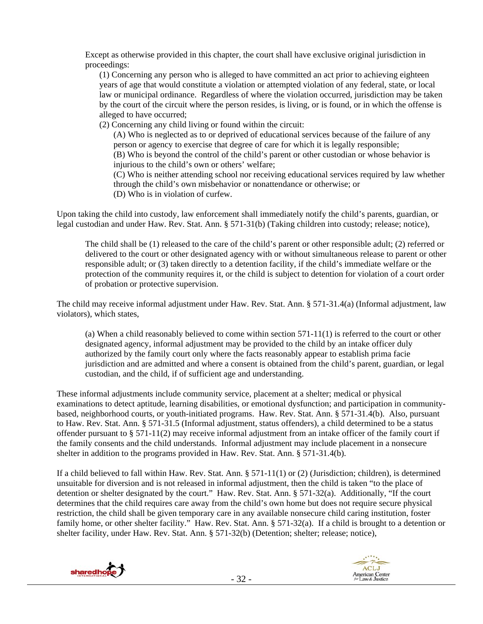Except as otherwise provided in this chapter, the court shall have exclusive original jurisdiction in proceedings:

(1) Concerning any person who is alleged to have committed an act prior to achieving eighteen years of age that would constitute a violation or attempted violation of any federal, state, or local law or municipal ordinance. Regardless of where the violation occurred, jurisdiction may be taken by the court of the circuit where the person resides, is living, or is found, or in which the offense is alleged to have occurred;

(2) Concerning any child living or found within the circuit:

(A) Who is neglected as to or deprived of educational services because of the failure of any person or agency to exercise that degree of care for which it is legally responsible; (B) Who is beyond the control of the child's parent or other custodian or whose behavior is injurious to the child's own or others' welfare;

(C) Who is neither attending school nor receiving educational services required by law whether through the child's own misbehavior or nonattendance or otherwise; or (D) Who is in violation of curfew.

Upon taking the child into custody, law enforcement shall immediately notify the child's parents, guardian, or legal custodian and under Haw. Rev. Stat. Ann. § 571-31(b) (Taking children into custody; release; notice),

The child shall be (1) released to the care of the child's parent or other responsible adult; (2) referred or delivered to the court or other designated agency with or without simultaneous release to parent or other responsible adult; or (3) taken directly to a detention facility, if the child's immediate welfare or the protection of the community requires it, or the child is subject to detention for violation of a court order of probation or protective supervision.

The child may receive informal adjustment under Haw. Rev. Stat. Ann. § 571-31.4(a) (Informal adjustment, law violators), which states,

(a) When a child reasonably believed to come within section 571-11(1) is referred to the court or other designated agency, informal adjustment may be provided to the child by an intake officer duly authorized by the family court only where the facts reasonably appear to establish prima facie jurisdiction and are admitted and where a consent is obtained from the child's parent, guardian, or legal custodian, and the child, if of sufficient age and understanding.

These informal adjustments include community service, placement at a shelter; medical or physical examinations to detect aptitude, learning disabilities, or emotional dysfunction; and participation in communitybased, neighborhood courts, or youth-initiated programs. Haw. Rev. Stat. Ann. § 571-31.4(b). Also, pursuant to Haw. Rev. Stat. Ann. § 571-31.5 (Informal adjustment, status offenders), a child determined to be a status offender pursuant to § 571-11(2) may receive informal adjustment from an intake officer of the family court if the family consents and the child understands. Informal adjustment may include placement in a nonsecure shelter in addition to the programs provided in Haw. Rev. Stat. Ann. § 571-31.4(b).

If a child believed to fall within Haw. Rev. Stat. Ann. § 571-11(1) or (2) (Jurisdiction; children), is determined unsuitable for diversion and is not released in informal adjustment, then the child is taken "to the place of detention or shelter designated by the court." Haw. Rev. Stat. Ann. § 571-32(a). Additionally, "If the court determines that the child requires care away from the child's own home but does not require secure physical restriction, the child shall be given temporary care in any available nonsecure child caring institution, foster family home, or other shelter facility." Haw. Rev. Stat. Ann. § 571-32(a). If a child is brought to a detention or shelter facility, under Haw. Rev. Stat. Ann. § 571-32(b) (Detention; shelter; release; notice),



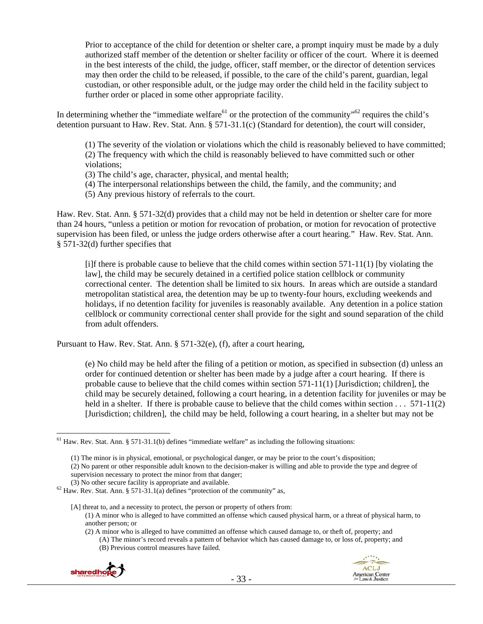Prior to acceptance of the child for detention or shelter care, a prompt inquiry must be made by a duly authorized staff member of the detention or shelter facility or officer of the court. Where it is deemed in the best interests of the child, the judge, officer, staff member, or the director of detention services may then order the child to be released, if possible, to the care of the child's parent, guardian, legal custodian, or other responsible adult, or the judge may order the child held in the facility subject to further order or placed in some other appropriate facility.

In determining whether the "immediate welfare<sup>61</sup> or the protection of the community"<sup>62</sup> requires the child's detention pursuant to Haw. Rev. Stat. Ann. § 571-31.1(c) (Standard for detention), the court will consider,

(1) The severity of the violation or violations which the child is reasonably believed to have committed; (2) The frequency with which the child is reasonably believed to have committed such or other violations;

- (3) The child's age, character, physical, and mental health;
- (4) The interpersonal relationships between the child, the family, and the community; and
- (5) Any previous history of referrals to the court.

Haw. Rev. Stat. Ann. § 571-32(d) provides that a child may not be held in detention or shelter care for more than 24 hours, "unless a petition or motion for revocation of probation, or motion for revocation of protective supervision has been filed, or unless the judge orders otherwise after a court hearing." Haw. Rev. Stat. Ann. § 571-32(d) further specifies that

[i]f there is probable cause to believe that the child comes within section 571-11(1) [by violating the law], the child may be securely detained in a certified police station cellblock or community correctional center. The detention shall be limited to six hours. In areas which are outside a standard metropolitan statistical area, the detention may be up to twenty-four hours, excluding weekends and holidays, if no detention facility for juveniles is reasonably available. Any detention in a police station cellblock or community correctional center shall provide for the sight and sound separation of the child from adult offenders.

Pursuant to Haw. Rev. Stat. Ann. § 571-32(e), (f), after a court hearing,

(e) No child may be held after the filing of a petition or motion, as specified in subsection (d) unless an order for continued detention or shelter has been made by a judge after a court hearing. If there is probable cause to believe that the child comes within section 571-11(1) [Jurisdiction; children], the child may be securely detained, following a court hearing, in a detention facility for juveniles or may be held in a shelter. If there is probable cause to believe that the child comes within section . . . 571-11(2) [Jurisdiction; children], the child may be held, following a court hearing, in a shelter but may not be

<sup>(2)</sup> A minor who is alleged to have committed an offense which caused damage to, or theft of, property; and (A) The minor's record reveals a pattern of behavior which has caused damage to, or loss of, property; and (B) Previous control measures have failed.





 $61$  Haw. Rev. Stat. Ann. § 571-31.1(b) defines "immediate welfare" as including the following situations:

<sup>(1)</sup> The minor is in physical, emotional, or psychological danger, or may be prior to the court's disposition;

<sup>(2)</sup> No parent or other responsible adult known to the decision-maker is willing and able to provide the type and degree of supervision necessary to protect the minor from that danger;

<sup>(3)</sup> No other secure facility is appropriate and available.<br><sup>62</sup> Haw. Rev. Stat. Ann. § 571-31.1(a) defines "protection of the community" as,

<sup>[</sup>A] threat to, and a necessity to protect, the person or property of others from: (1) A minor who is alleged to have committed an offense which caused physical harm, or a threat of physical harm, to another person; or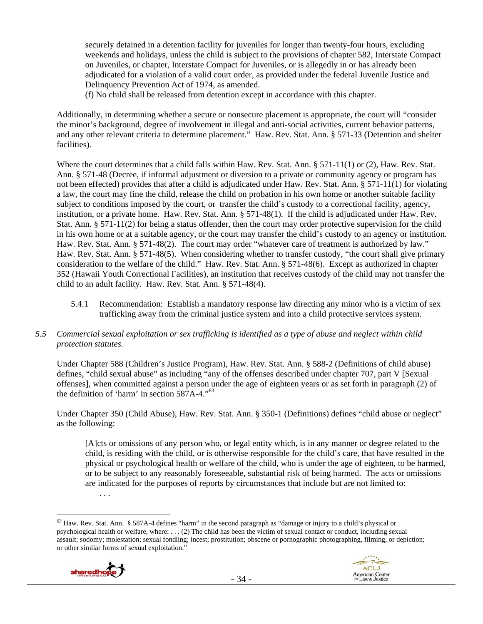securely detained in a detention facility for juveniles for longer than twenty-four hours, excluding weekends and holidays, unless the child is subject to the provisions of chapter 582, Interstate Compact on Juveniles, or chapter, Interstate Compact for Juveniles, or is allegedly in or has already been adjudicated for a violation of a valid court order, as provided under the federal Juvenile Justice and Delinquency Prevention Act of 1974, as amended.

(f) No child shall be released from detention except in accordance with this chapter.

Additionally, in determining whether a secure or nonsecure placement is appropriate, the court will "consider the minor's background, degree of involvement in illegal and anti-social activities, current behavior patterns, and any other relevant criteria to determine placement." Haw. Rev. Stat. Ann. § 571-33 (Detention and shelter facilities).

Where the court determines that a child falls within Haw. Rev. Stat. Ann. § 571-11(1) or (2), Haw. Rev. Stat. Ann. § 571-48 (Decree, if informal adjustment or diversion to a private or community agency or program has not been effected) provides that after a child is adjudicated under Haw. Rev. Stat. Ann. § 571-11(1) for violating a law, the court may fine the child, release the child on probation in his own home or another suitable facility subject to conditions imposed by the court, or transfer the child's custody to a correctional facility, agency, institution, or a private home. Haw. Rev. Stat. Ann. § 571-48(1). If the child is adjudicated under Haw. Rev. Stat. Ann. § 571-11(2) for being a status offender, then the court may order protective supervision for the child in his own home or at a suitable agency, or the court may transfer the child's custody to an agency or institution. Haw. Rev. Stat. Ann. § 571-48(2). The court may order "whatever care of treatment is authorized by law." Haw. Rev. Stat. Ann. § 571-48(5). When considering whether to transfer custody, "the court shall give primary consideration to the welfare of the child." Haw. Rev. Stat. Ann. § 571-48(6). Except as authorized in chapter 352 (Hawaii Youth Correctional Facilities), an institution that receives custody of the child may not transfer the child to an adult facility. Haw. Rev. Stat. Ann. § 571-48(4).

5.4.1 Recommendation: Establish a mandatory response law directing any minor who is a victim of sex trafficking away from the criminal justice system and into a child protective services system.

## *5.5 Commercial sexual exploitation or sex trafficking is identified as a type of abuse and neglect within child protection statutes.*

Under Chapter 588 (Children's Justice Program), Haw. Rev. Stat. Ann. § 588-2 (Definitions of child abuse) defines, "child sexual abuse" as including "any of the offenses described under chapter 707, part V [Sexual offenses], when committed against a person under the age of eighteen years or as set forth in paragraph (2) of the definition of 'harm' in section 587A-4."63

Under Chapter 350 (Child Abuse), Haw. Rev. Stat. Ann. § 350-1 (Definitions) defines "child abuse or neglect" as the following:

[A]cts or omissions of any person who, or legal entity which, is in any manner or degree related to the child, is residing with the child, or is otherwise responsible for the child's care, that have resulted in the physical or psychological health or welfare of the child, who is under the age of eighteen, to be harmed, or to be subject to any reasonably foreseeable, substantial risk of being harmed. The acts or omissions are indicated for the purposes of reports by circumstances that include but are not limited to: . . .

 $\overline{a}$  $63$  Haw. Rev. Stat. Ann. § 587A-4 defines "harm" in the second paragraph as "damage or injury to a child's physical or psychological health or welfare, where: . . . (2) The child has been the victim of sexual contact or conduct, including sexual assault; sodomy; molestation; sexual fondling; incest; prostitution; obscene or pornographic photographing, filming, or depiction; or other similar forms of sexual exploitation."



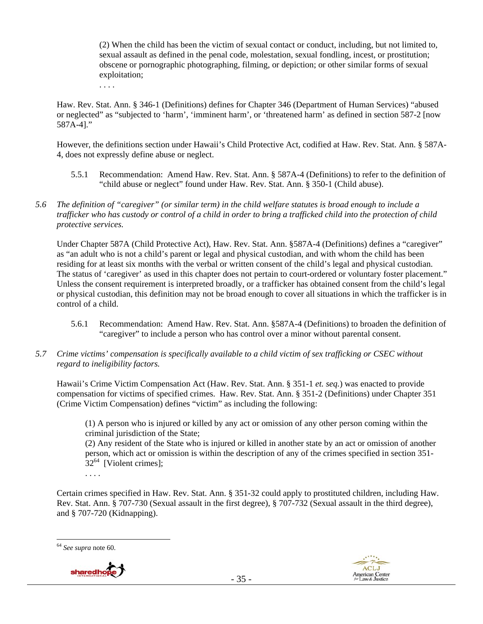(2) When the child has been the victim of sexual contact or conduct, including, but not limited to, sexual assault as defined in the penal code, molestation, sexual fondling, incest, or prostitution; obscene or pornographic photographing, filming, or depiction; or other similar forms of sexual exploitation;

. . . .

Haw. Rev. Stat. Ann. § 346-1 (Definitions) defines for Chapter 346 (Department of Human Services) "abused or neglected" as "subjected to 'harm', 'imminent harm', or 'threatened harm' as defined in section 587-2 [now 587A-4]."

However, the definitions section under Hawaii's Child Protective Act, codified at Haw. Rev. Stat. Ann. § 587A-4, does not expressly define abuse or neglect.

- 5.5.1 Recommendation: Amend Haw. Rev. Stat. Ann. § 587A-4 (Definitions) to refer to the definition of "child abuse or neglect" found under Haw. Rev. Stat. Ann. § 350-1 (Child abuse).
- *5.6 The definition of "caregiver" (or similar term) in the child welfare statutes is broad enough to include a trafficker who has custody or control of a child in order to bring a trafficked child into the protection of child protective services.*

Under Chapter 587A (Child Protective Act), Haw. Rev. Stat. Ann. §587A-4 (Definitions) defines a "caregiver" as "an adult who is not a child's parent or legal and physical custodian, and with whom the child has been residing for at least six months with the verbal or written consent of the child's legal and physical custodian. The status of 'caregiver' as used in this chapter does not pertain to court-ordered or voluntary foster placement." Unless the consent requirement is interpreted broadly, or a trafficker has obtained consent from the child's legal or physical custodian, this definition may not be broad enough to cover all situations in which the trafficker is in control of a child.

- 5.6.1 Recommendation: Amend Haw. Rev. Stat. Ann. §587A-4 (Definitions) to broaden the definition of "caregiver" to include a person who has control over a minor without parental consent.
- *5.7 Crime victims' compensation is specifically available to a child victim of sex trafficking or CSEC without regard to ineligibility factors.*

Hawaii's Crime Victim Compensation Act (Haw. Rev. Stat. Ann. § 351-1 *et. seq.*) was enacted to provide compensation for victims of specified crimes. Haw. Rev. Stat. Ann. § 351-2 (Definitions) under Chapter 351 (Crime Victim Compensation) defines "victim" as including the following:

(1) A person who is injured or killed by any act or omission of any other person coming within the criminal jurisdiction of the State;

(2) Any resident of the State who is injured or killed in another state by an act or omission of another person, which act or omission is within the description of any of the crimes specified in section 351-  $32^{64}$  [Violent crimes];

. . . .

Certain crimes specified in Haw. Rev. Stat. Ann. § 351-32 could apply to prostituted children, including Haw. Rev. Stat. Ann. § 707-730 (Sexual assault in the first degree), § 707-732 (Sexual assault in the third degree), and § 707-720 (Kidnapping).





<sup>64</sup> *See supra* note 60.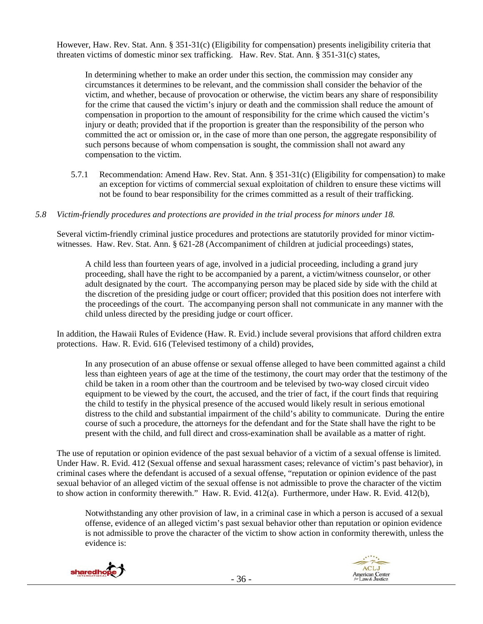However, Haw. Rev. Stat. Ann. § 351-31(c) (Eligibility for compensation) presents ineligibility criteria that threaten victims of domestic minor sex trafficking. Haw. Rev. Stat. Ann. § 351-31(c) states,

In determining whether to make an order under this section, the commission may consider any circumstances it determines to be relevant, and the commission shall consider the behavior of the victim, and whether, because of provocation or otherwise, the victim bears any share of responsibility for the crime that caused the victim's injury or death and the commission shall reduce the amount of compensation in proportion to the amount of responsibility for the crime which caused the victim's injury or death; provided that if the proportion is greater than the responsibility of the person who committed the act or omission or, in the case of more than one person, the aggregate responsibility of such persons because of whom compensation is sought, the commission shall not award any compensation to the victim.

5.7.1 Recommendation: Amend Haw. Rev. Stat. Ann. § 351-31(c) (Eligibility for compensation) to make an exception for victims of commercial sexual exploitation of children to ensure these victims will not be found to bear responsibility for the crimes committed as a result of their trafficking.

#### *5.8 Victim-friendly procedures and protections are provided in the trial process for minors under 18.*

Several victim-friendly criminal justice procedures and protections are statutorily provided for minor victimwitnesses. Haw. Rev. Stat. Ann. § 621-28 (Accompaniment of children at judicial proceedings) states,

A child less than fourteen years of age, involved in a judicial proceeding, including a grand jury proceeding, shall have the right to be accompanied by a parent, a victim/witness counselor, or other adult designated by the court. The accompanying person may be placed side by side with the child at the discretion of the presiding judge or court officer; provided that this position does not interfere with the proceedings of the court. The accompanying person shall not communicate in any manner with the child unless directed by the presiding judge or court officer.

In addition, the Hawaii Rules of Evidence (Haw. R. Evid.) include several provisions that afford children extra protections. Haw. R. Evid. 616 (Televised testimony of a child) provides,

In any prosecution of an abuse offense or sexual offense alleged to have been committed against a child less than eighteen years of age at the time of the testimony, the court may order that the testimony of the child be taken in a room other than the courtroom and be televised by two-way closed circuit video equipment to be viewed by the court, the accused, and the trier of fact, if the court finds that requiring the child to testify in the physical presence of the accused would likely result in serious emotional distress to the child and substantial impairment of the child's ability to communicate. During the entire course of such a procedure, the attorneys for the defendant and for the State shall have the right to be present with the child, and full direct and cross-examination shall be available as a matter of right.

The use of reputation or opinion evidence of the past sexual behavior of a victim of a sexual offense is limited. Under Haw. R. Evid. 412 (Sexual offense and sexual harassment cases; relevance of victim's past behavior), in criminal cases where the defendant is accused of a sexual offense, "reputation or opinion evidence of the past sexual behavior of an alleged victim of the sexual offense is not admissible to prove the character of the victim to show action in conformity therewith." Haw. R. Evid. 412(a). Furthermore, under Haw. R. Evid. 412(b),

Notwithstanding any other provision of law, in a criminal case in which a person is accused of a sexual offense, evidence of an alleged victim's past sexual behavior other than reputation or opinion evidence is not admissible to prove the character of the victim to show action in conformity therewith, unless the evidence is:



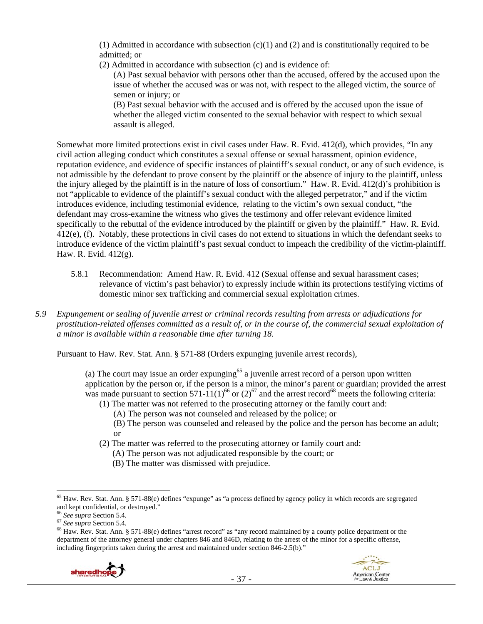$(1)$  Admitted in accordance with subsection  $(c)(1)$  and  $(2)$  and is constitutionally required to be admitted; or

(2) Admitted in accordance with subsection (c) and is evidence of:

(A) Past sexual behavior with persons other than the accused, offered by the accused upon the issue of whether the accused was or was not, with respect to the alleged victim, the source of semen or injury; or

(B) Past sexual behavior with the accused and is offered by the accused upon the issue of whether the alleged victim consented to the sexual behavior with respect to which sexual assault is alleged.

Somewhat more limited protections exist in civil cases under Haw. R. Evid. 412(d), which provides, "In any civil action alleging conduct which constitutes a sexual offense or sexual harassment, opinion evidence, reputation evidence, and evidence of specific instances of plaintiff's sexual conduct, or any of such evidence, is not admissible by the defendant to prove consent by the plaintiff or the absence of injury to the plaintiff, unless the injury alleged by the plaintiff is in the nature of loss of consortium." Haw. R. Evid. 412(d)'s prohibition is not "applicable to evidence of the plaintiff's sexual conduct with the alleged perpetrator," and if the victim introduces evidence, including testimonial evidence, relating to the victim's own sexual conduct, "the defendant may cross-examine the witness who gives the testimony and offer relevant evidence limited specifically to the rebuttal of the evidence introduced by the plaintiff or given by the plaintiff." Haw. R. Evid. 412(e), (f). Notably, these protections in civil cases do not extend to situations in which the defendant seeks to introduce evidence of the victim plaintiff's past sexual conduct to impeach the credibility of the victim-plaintiff. Haw. R. Evid. 412(g).

- 5.8.1 Recommendation: Amend Haw. R. Evid. 412 (Sexual offense and sexual harassment cases; relevance of victim's past behavior) to expressly include within its protections testifying victims of domestic minor sex trafficking and commercial sexual exploitation crimes.
- *5.9 Expungement or sealing of juvenile arrest or criminal records resulting from arrests or adjudications for prostitution-related offenses committed as a result of, or in the course of, the commercial sexual exploitation of a minor is available within a reasonable time after turning 18.*

Pursuant to Haw. Rev. Stat. Ann. § 571-88 (Orders expunging juvenile arrest records),

(a) The court may issue an order expunging<sup>65</sup> a juvenile arrest record of a person upon written application by the person or, if the person is a minor, the minor's parent or guardian; provided the arrest was made pursuant to section 571-11(1)<sup>66</sup> or (2)<sup>67</sup> and the arrest record<sup>68</sup> meets the following criteria:

- (1) The matter was not referred to the prosecuting attorney or the family court and:
	- (A) The person was not counseled and released by the police; or
	- (B) The person was counseled and released by the police and the person has become an adult; or
- (2) The matter was referred to the prosecuting attorney or family court and:
	- (A) The person was not adjudicated responsible by the court; or
		- (B) The matter was dismissed with prejudice.

<sup>&</sup>lt;sup>67</sup> *See supra* Section 5.4.<br><sup>67</sup> *See supra* Section 5.4. 68 Haw. Rev. Stat. Ann. § 571-88(e) defines "arrest record" as "any record maintained by a county police department or the department of the attorney general under chapters 846 and 846D, relating to the arrest of the minor for a specific offense, including fingerprints taken during the arrest and maintained under section 846-2.5(b)."



<sup>65</sup> Haw. Rev. Stat. Ann. § 571-88(e) defines "expunge" as "a process defined by agency policy in which records are segregated and kept confidential, or destroyed."<br>  $\frac{66}{6}$  See supra Section 5.4.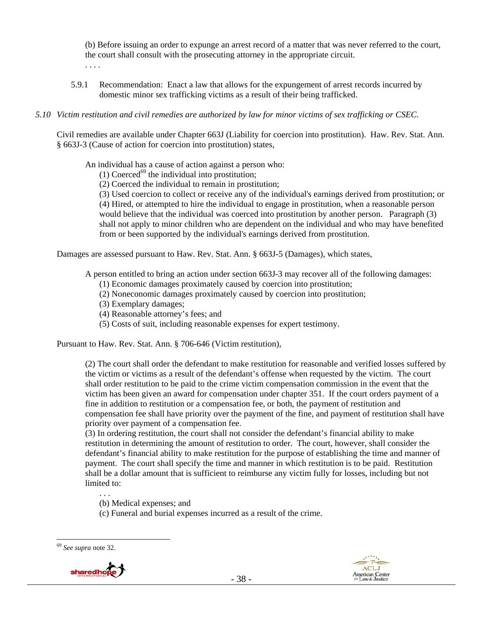(b) Before issuing an order to expunge an arrest record of a matter that was never referred to the court, the court shall consult with the prosecuting attorney in the appropriate circuit. . . . .

5.9.1 Recommendation: Enact a law that allows for the expungement of arrest records incurred by domestic minor sex trafficking victims as a result of their being trafficked.

## *5.10 Victim restitution and civil remedies are authorized by law for minor victims of sex trafficking or CSEC.*

Civil remedies are available under Chapter 663J (Liability for coercion into prostitution). Haw. Rev. Stat. Ann. § 663J-3 (Cause of action for coercion into prostitution) states,

An individual has a cause of action against a person who:

- (1) Coerced<sup>69</sup> the individual into prostitution;
- (2) Coerced the individual to remain in prostitution;

(3) Used coercion to collect or receive any of the individual's earnings derived from prostitution; or (4) Hired, or attempted to hire the individual to engage in prostitution, when a reasonable person would believe that the individual was coerced into prostitution by another person. Paragraph (3) shall not apply to minor children who are dependent on the individual and who may have benefited from or been supported by the individual's earnings derived from prostitution.

Damages are assessed pursuant to Haw. Rev. Stat. Ann. § 663J-5 (Damages), which states,

A person entitled to bring an action under section 663J-3 may recover all of the following damages:

- (1) Economic damages proximately caused by coercion into prostitution;
- (2) Noneconomic damages proximately caused by coercion into prostitution;
- (3) Exemplary damages;
- (4) Reasonable attorney's fees; and
- (5) Costs of suit, including reasonable expenses for expert testimony.

Pursuant to Haw. Rev. Stat. Ann. § 706-646 (Victim restitution),

(2) The court shall order the defendant to make restitution for reasonable and verified losses suffered by the victim or victims as a result of the defendant's offense when requested by the victim. The court shall order restitution to be paid to the crime victim compensation commission in the event that the victim has been given an award for compensation under chapter 351. If the court orders payment of a fine in addition to restitution or a compensation fee, or both, the payment of restitution and compensation fee shall have priority over the payment of the fine, and payment of restitution shall have priority over payment of a compensation fee.

(3) In ordering restitution, the court shall not consider the defendant's financial ability to make restitution in determining the amount of restitution to order. The court, however, shall consider the defendant's financial ability to make restitution for the purpose of establishing the time and manner of payment. The court shall specify the time and manner in which restitution is to be paid. Restitution shall be a dollar amount that is sufficient to reimburse any victim fully for losses, including but not limited to:

. . .

(b) Medical expenses; and

(c) Funeral and burial expenses incurred as a result of the crime.





<sup>69</sup> *See supra* note 32.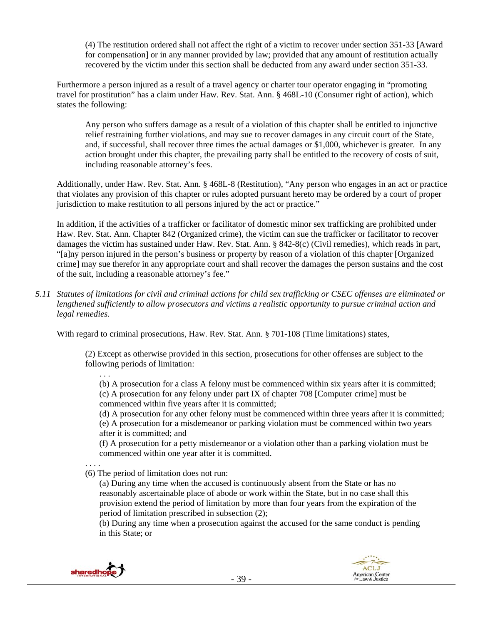(4) The restitution ordered shall not affect the right of a victim to recover under section 351-33 [Award for compensation] or in any manner provided by law; provided that any amount of restitution actually recovered by the victim under this section shall be deducted from any award under section 351-33.

Furthermore a person injured as a result of a travel agency or charter tour operator engaging in "promoting travel for prostitution" has a claim under Haw. Rev. Stat. Ann. § 468L-10 (Consumer right of action), which states the following:

Any person who suffers damage as a result of a violation of this chapter shall be entitled to injunctive relief restraining further violations, and may sue to recover damages in any circuit court of the State, and, if successful, shall recover three times the actual damages or \$1,000, whichever is greater. In any action brought under this chapter, the prevailing party shall be entitled to the recovery of costs of suit, including reasonable attorney's fees.

Additionally, under Haw. Rev. Stat. Ann. § 468L-8 (Restitution), "Any person who engages in an act or practice that violates any provision of this chapter or rules adopted pursuant hereto may be ordered by a court of proper jurisdiction to make restitution to all persons injured by the act or practice."

In addition, if the activities of a trafficker or facilitator of domestic minor sex trafficking are prohibited under Haw. Rev. Stat. Ann. Chapter 842 (Organized crime), the victim can sue the trafficker or facilitator to recover damages the victim has sustained under Haw. Rev. Stat. Ann. § 842-8(c) (Civil remedies), which reads in part, "[a]ny person injured in the person's business or property by reason of a violation of this chapter [Organized crime] may sue therefor in any appropriate court and shall recover the damages the person sustains and the cost of the suit, including a reasonable attorney's fee."

*5.11 Statutes of limitations for civil and criminal actions for child sex trafficking or CSEC offenses are eliminated or lengthened sufficiently to allow prosecutors and victims a realistic opportunity to pursue criminal action and legal remedies.* 

With regard to criminal prosecutions, Haw. Rev. Stat. Ann. § 701-108 (Time limitations) states,

(2) Except as otherwise provided in this section, prosecutions for other offenses are subject to the following periods of limitation:

(b) A prosecution for a class A felony must be commenced within six years after it is committed; (c) A prosecution for any felony under part IX of chapter 708 [Computer crime] must be commenced within five years after it is committed;

(d) A prosecution for any other felony must be commenced within three years after it is committed; (e) A prosecution for a misdemeanor or parking violation must be commenced within two years after it is committed; and

(f) A prosecution for a petty misdemeanor or a violation other than a parking violation must be commenced within one year after it is committed.

. . . . (6) The period of limitation does not run:

(a) During any time when the accused is continuously absent from the State or has no reasonably ascertainable place of abode or work within the State, but in no case shall this provision extend the period of limitation by more than four years from the expiration of the period of limitation prescribed in subsection (2);

(b) During any time when a prosecution against the accused for the same conduct is pending in this State; or



. . .

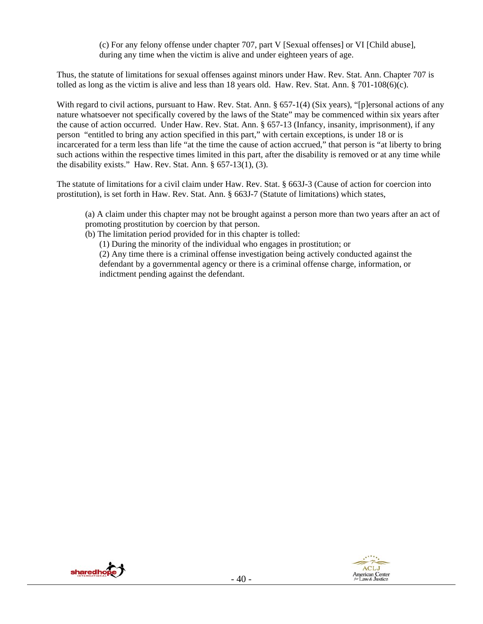(c) For any felony offense under chapter 707, part V [Sexual offenses] or VI [Child abuse], during any time when the victim is alive and under eighteen years of age.

Thus, the statute of limitations for sexual offenses against minors under Haw. Rev. Stat. Ann. Chapter 707 is tolled as long as the victim is alive and less than 18 years old. Haw. Rev. Stat. Ann. § 701-108(6)(c).

With regard to civil actions, pursuant to Haw. Rev. Stat. Ann. § 657-1(4) (Six years), "[p]ersonal actions of any nature whatsoever not specifically covered by the laws of the State" may be commenced within six years after the cause of action occurred. Under Haw. Rev. Stat. Ann. § 657-13 (Infancy, insanity, imprisonment), if any person "entitled to bring any action specified in this part," with certain exceptions, is under 18 or is incarcerated for a term less than life "at the time the cause of action accrued," that person is "at liberty to bring such actions within the respective times limited in this part, after the disability is removed or at any time while the disability exists." Haw. Rev. Stat. Ann.  $\S 657-13(1)$ , (3).

The statute of limitations for a civil claim under Haw. Rev. Stat. § 663J-3 (Cause of action for coercion into prostitution), is set forth in Haw. Rev. Stat. Ann. § 663J-7 (Statute of limitations) which states,

(a) A claim under this chapter may not be brought against a person more than two years after an act of promoting prostitution by coercion by that person.

(b) The limitation period provided for in this chapter is tolled:

(1) During the minority of the individual who engages in prostitution; or

(2) Any time there is a criminal offense investigation being actively conducted against the defendant by a governmental agency or there is a criminal offense charge, information, or indictment pending against the defendant.



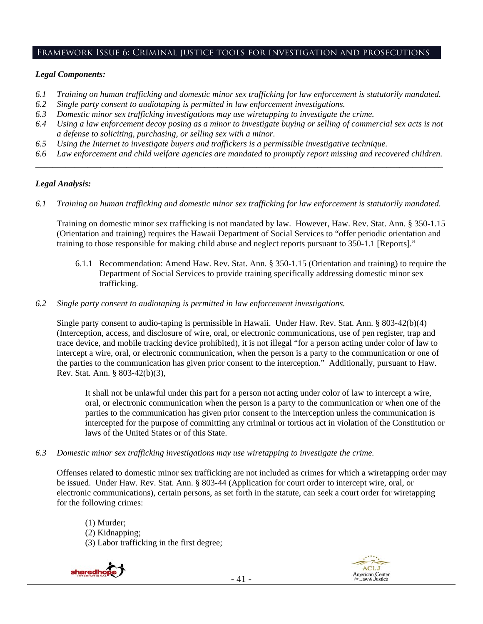#### Framework Issue 6: Criminal justice tools for investigation and prosecutions

#### *Legal Components:*

- *6.1 Training on human trafficking and domestic minor sex trafficking for law enforcement is statutorily mandated.*
- *6.2 Single party consent to audiotaping is permitted in law enforcement investigations.*
- *6.3 Domestic minor sex trafficking investigations may use wiretapping to investigate the crime.*
- *6.4 Using a law enforcement decoy posing as a minor to investigate buying or selling of commercial sex acts is not a defense to soliciting, purchasing, or selling sex with a minor.*
- *6.5 Using the Internet to investigate buyers and traffickers is a permissible investigative technique.*
- *6.6 Law enforcement and child welfare agencies are mandated to promptly report missing and recovered children. \_\_\_\_\_\_\_\_\_\_\_\_\_\_\_\_\_\_\_\_\_\_\_\_\_\_\_\_\_\_\_\_\_\_\_\_\_\_\_\_\_\_\_\_\_\_\_\_\_\_\_\_\_\_\_\_\_\_\_\_\_\_\_\_\_\_\_\_\_\_\_\_\_\_\_\_\_\_\_\_\_\_\_\_\_\_\_\_\_\_\_\_\_\_*

## *Legal Analysis:*

*6.1 Training on human trafficking and domestic minor sex trafficking for law enforcement is statutorily mandated.* 

Training on domestic minor sex trafficking is not mandated by law. However, Haw. Rev. Stat. Ann. § 350-1.15 (Orientation and training) requires the Hawaii Department of Social Services to "offer periodic orientation and training to those responsible for making child abuse and neglect reports pursuant to 350-1.1 [Reports]."

- 6.1.1 Recommendation: Amend Haw. Rev. Stat. Ann. § 350-1.15 (Orientation and training) to require the Department of Social Services to provide training specifically addressing domestic minor sex trafficking.
- *6.2 Single party consent to audiotaping is permitted in law enforcement investigations.*

Single party consent to audio-taping is permissible in Hawaii. Under Haw. Rev. Stat. Ann. § 803-42(b)(4) (Interception, access, and disclosure of wire, oral, or electronic communications, use of pen register, trap and trace device, and mobile tracking device prohibited), it is not illegal "for a person acting under color of law to intercept a wire, oral, or electronic communication, when the person is a party to the communication or one of the parties to the communication has given prior consent to the interception." Additionally, pursuant to Haw. Rev. Stat. Ann. § 803-42(b)(3),

It shall not be unlawful under this part for a person not acting under color of law to intercept a wire, oral, or electronic communication when the person is a party to the communication or when one of the parties to the communication has given prior consent to the interception unless the communication is intercepted for the purpose of committing any criminal or tortious act in violation of the Constitution or laws of the United States or of this State.

*6.3 Domestic minor sex trafficking investigations may use wiretapping to investigate the crime.* 

Offenses related to domestic minor sex trafficking are not included as crimes for which a wiretapping order may be issued. Under Haw. Rev. Stat. Ann. § 803-44 (Application for court order to intercept wire, oral, or electronic communications), certain persons, as set forth in the statute, can seek a court order for wiretapping for the following crimes:

(1) Murder; (2) Kidnapping; (3) Labor trafficking in the first degree;



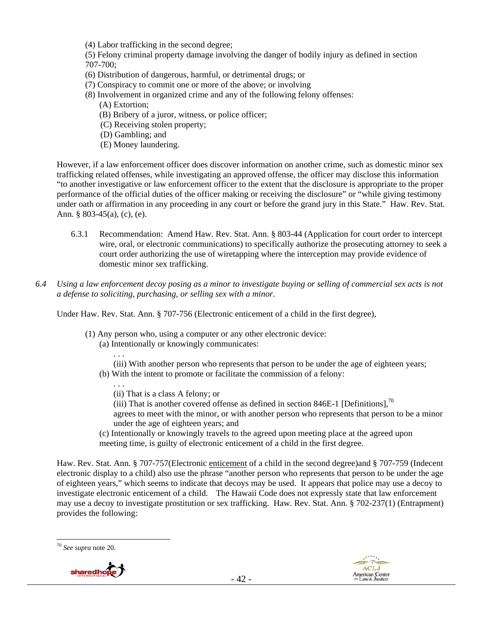(4) Labor trafficking in the second degree;

(5) Felony criminal property damage involving the danger of bodily injury as defined in section 707-700;

- (6) Distribution of dangerous, harmful, or detrimental drugs; or
- (7) Conspiracy to commit one or more of the above; or involving
- (8) Involvement in organized crime and any of the following felony offenses:
	- (A) Extortion;
	- (B) Bribery of a juror, witness, or police officer;
	- (C) Receiving stolen property;
	- (D) Gambling; and
	- (E) Money laundering.

However, if a law enforcement officer does discover information on another crime, such as domestic minor sex trafficking related offenses, while investigating an approved offense, the officer may disclose this information "to another investigative or law enforcement officer to the extent that the disclosure is appropriate to the proper performance of the official duties of the officer making or receiving the disclosure" or "while giving testimony under oath or affirmation in any proceeding in any court or before the grand jury in this State." Haw. Rev. Stat. Ann. § 803-45(a), (c), (e).

- 6.3.1 Recommendation: Amend Haw. Rev. Stat. Ann. § 803-44 (Application for court order to intercept wire, oral, or electronic communications) to specifically authorize the prosecuting attorney to seek a court order authorizing the use of wiretapping where the interception may provide evidence of domestic minor sex trafficking.
- *6.4 Using a law enforcement decoy posing as a minor to investigate buying or selling of commercial sex acts is not a defense to soliciting, purchasing, or selling sex with a minor.*

Under Haw. Rev. Stat. Ann. § 707-756 (Electronic enticement of a child in the first degree),

- (1) Any person who, using a computer or any other electronic device:
	- (a) Intentionally or knowingly communicates:
	- . . . (iii) With another person who represents that person to be under the age of eighteen years; (b) With the intent to promote or facilitate the commission of a felony:
		- (ii) That is a class A felony; or

. . .

- (iii) That is another covered offense as defined in section 846E-1 [Definitions],<sup>70</sup>
- agrees to meet with the minor, or with another person who represents that person to be a minor under the age of eighteen years; and
- (c) Intentionally or knowingly travels to the agreed upon meeting place at the agreed upon meeting time, is guilty of electronic enticement of a child in the first degree.

Haw. Rev. Stat. Ann. § 707-757(Electronic enticement of a child in the second degree)and § 707-759 (Indecent electronic display to a child) also use the phrase "another person who represents that person to be under the age of eighteen years," which seems to indicate that decoys may be used. It appears that police may use a decoy to investigate electronic enticement of a child. The Hawaii Code does not expressly state that law enforcement may use a decoy to investigate prostitution or sex trafficking. Haw. Rev. Stat. Ann. § 702-237(1) (Entrapment) provides the following:





<sup>70</sup> *See supra* note 20.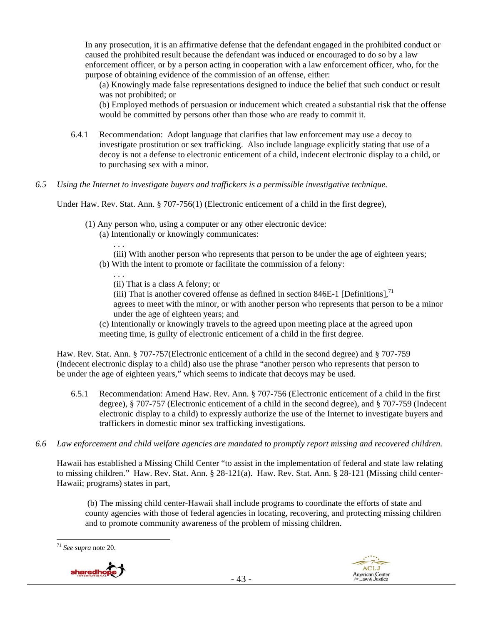In any prosecution, it is an affirmative defense that the defendant engaged in the prohibited conduct or caused the prohibited result because the defendant was induced or encouraged to do so by a law enforcement officer, or by a person acting in cooperation with a law enforcement officer, who, for the purpose of obtaining evidence of the commission of an offense, either:

(a) Knowingly made false representations designed to induce the belief that such conduct or result was not prohibited; or

(b) Employed methods of persuasion or inducement which created a substantial risk that the offense would be committed by persons other than those who are ready to commit it.

- 6.4.1 Recommendation: Adopt language that clarifies that law enforcement may use a decoy to investigate prostitution or sex trafficking. Also include language explicitly stating that use of a decoy is not a defense to electronic enticement of a child, indecent electronic display to a child, or to purchasing sex with a minor.
- *6.5 Using the Internet to investigate buyers and traffickers is a permissible investigative technique.*

Under Haw. Rev. Stat. Ann. § 707-756(1) (Electronic enticement of a child in the first degree),

- (1) Any person who, using a computer or any other electronic device:
	- (a) Intentionally or knowingly communicates:

(iii) With another person who represents that person to be under the age of eighteen years;

(b) With the intent to promote or facilitate the commission of a felony:

. . .

. . .

(ii) That is a class A felony; or (iii) That is another covered offense as defined in section 846E-1 [Definitions].<sup>71</sup>

agrees to meet with the minor, or with another person who represents that person to be a minor under the age of eighteen years; and

(c) Intentionally or knowingly travels to the agreed upon meeting place at the agreed upon meeting time, is guilty of electronic enticement of a child in the first degree.

Haw. Rev. Stat. Ann. § 707-757(Electronic enticement of a child in the second degree) and § 707-759 (Indecent electronic display to a child) also use the phrase "another person who represents that person to be under the age of eighteen years," which seems to indicate that decoys may be used.

- 6.5.1 Recommendation: Amend Haw. Rev. Ann. § 707-756 (Electronic enticement of a child in the first degree), § 707-757 (Electronic enticement of a child in the second degree), and § 707-759 (Indecent electronic display to a child) to expressly authorize the use of the Internet to investigate buyers and traffickers in domestic minor sex trafficking investigations.
- *6.6 Law enforcement and child welfare agencies are mandated to promptly report missing and recovered children.*

Hawaii has established a Missing Child Center "to assist in the implementation of federal and state law relating to missing children." Haw. Rev. Stat. Ann. § 28-121(a). Haw. Rev. Stat. Ann. § 28-121 (Missing child center-Hawaii; programs) states in part,

 (b) The missing child center-Hawaii shall include programs to coordinate the efforts of state and county agencies with those of federal agencies in locating, recovering, and protecting missing children and to promote community awareness of the problem of missing children.





<sup>71</sup> *See supra* note 20.